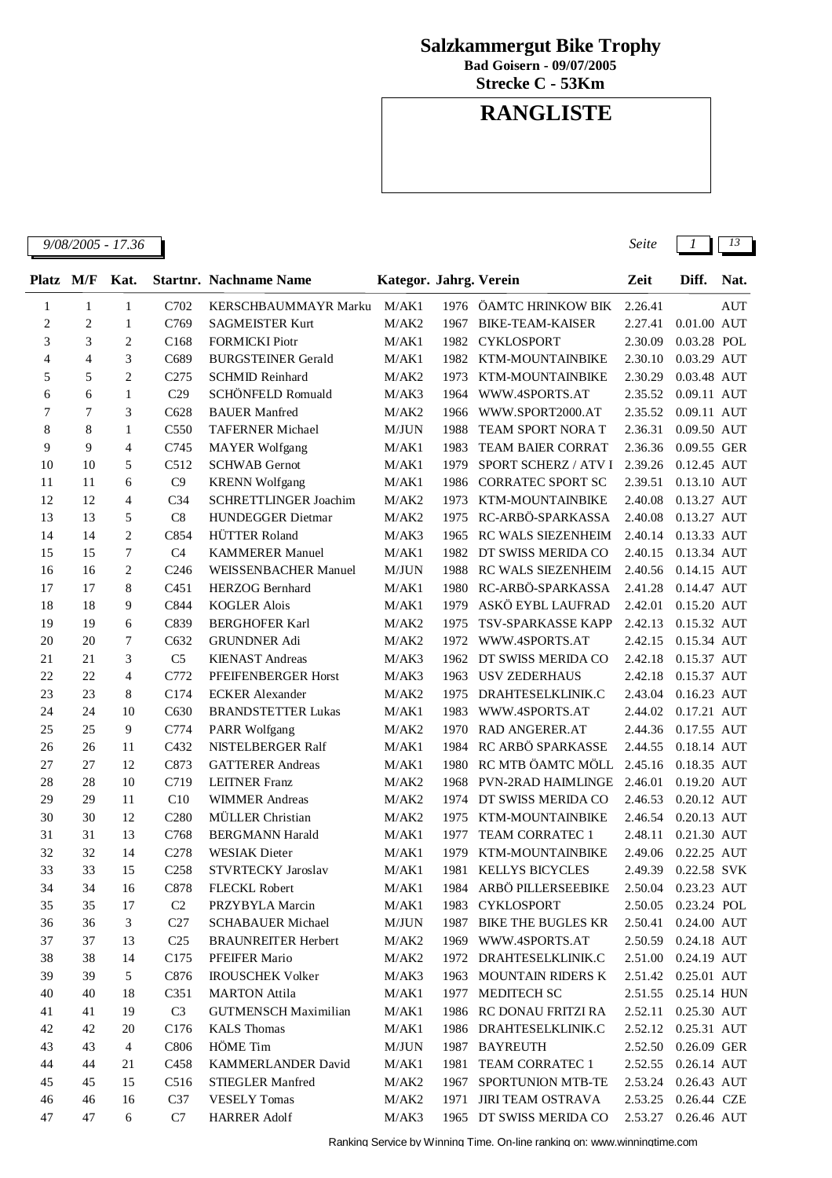## **Salzkammergut Bike Trophy**

**Bad Goisern - 09/07/2005**

**Strecke C - 53Km**

## **RANGLISTE**

| 9/08/2005<br>$\overline{1}$<br>36<br>$-11$<br>ໍ່ | Seite<br>. | - -<br>1 J |
|--------------------------------------------------|------------|------------|
|                                                  |            |            |

| $\mathbf{1}$   | $\mathbf{1}$   | $\mathbf{1}$   | C702             | <b>KERSCHBAUMMAYR Marku</b> | M/AK1 |      | 1976 ÖAMTC HRINKOW BIK      | 2.26.41 | <b>AUT</b>    |
|----------------|----------------|----------------|------------------|-----------------------------|-------|------|-----------------------------|---------|---------------|
| $\overline{2}$ | $\overline{c}$ | $\mathbf{1}$   | C769             | <b>SAGMEISTER Kurt</b>      | M/AK2 | 1967 | <b>BIKE-TEAM-KAISER</b>     | 2.27.41 | $0.01.00$ AUT |
| 3              | 3              | $\overline{2}$ | C168             | <b>FORMICKI</b> Piotr       | M/AK1 | 1982 | <b>CYKLOSPORT</b>           | 2.30.09 | 0.03.28 POL   |
| 4              | $\overline{4}$ | 3              | C689             | <b>BURGSTEINER Gerald</b>   | M/AK1 | 1982 | KTM-MOUNTAINBIKE            | 2.30.10 | 0.03.29 AUT   |
| 5              | 5              | $\overline{2}$ | C <sub>275</sub> | <b>SCHMID Reinhard</b>      | M/AK2 | 1973 | KTM-MOUNTAINBIKE            | 2.30.29 | 0.03.48 AUT   |
| 6              | 6              | $\mathbf{1}$   | C <sub>29</sub>  | SCHÖNFELD Romuald           | M/AK3 | 1964 | WWW.4SPORTS.AT              | 2.35.52 | 0.09.11 AUT   |
| 7              | $\overline{7}$ | 3              | C628             | <b>BAUER Manfred</b>        | M/AK2 | 1966 | WWW.SPORT2000.AT            | 2.35.52 | 0.09.11 AUT   |
| 8              | 8              | $\mathbf{1}$   | C <sub>550</sub> | <b>TAFERNER Michael</b>     | M/JUN | 1988 | <b>TEAM SPORT NORA T</b>    | 2.36.31 | 0.09.50 AUT   |
| 9              | 9              | $\overline{4}$ | C745             | <b>MAYER</b> Wolfgang       | M/AK1 | 1983 | <b>TEAM BAIER CORRAT</b>    | 2.36.36 | 0.09.55 GER   |
| 10             | 10             | 5              | C512             | <b>SCHWAB</b> Gernot        | M/AK1 | 1979 | <b>SPORT SCHERZ / ATV I</b> | 2.39.26 | 0.12.45 AUT   |
| 11             | 11             | 6              | C9               | <b>KRENN</b> Wolfgang       | M/AK1 | 1986 | <b>CORRATEC SPORT SC</b>    | 2.39.51 | 0.13.10 AUT   |
| 12             | 12             | $\overline{4}$ | C <sub>34</sub>  | SCHRETTLINGER Joachim       | M/AK2 | 1973 | KTM-MOUNTAINBIKE            | 2.40.08 | 0.13.27 AUT   |
| 13             | 13             | 5              | C8               | <b>HUNDEGGER Dietmar</b>    | M/AK2 | 1975 | RC-ARBÖ-SPARKASSA           | 2.40.08 | 0.13.27 AUT   |
| 14             | 14             | $\overline{2}$ | C854             | <b>HÜTTER Roland</b>        | M/AK3 | 1965 | RC WALS SIEZENHEIM          | 2.40.14 | 0.13.33 AUT   |
| 15             | 15             | $\tau$         | C <sub>4</sub>   | <b>KAMMERER Manuel</b>      | M/AK1 | 1982 | DT SWISS MERIDA CO          | 2.40.15 | 0.13.34 AUT   |
| 16             | 16             | $\overline{c}$ | C <sub>246</sub> | <b>WEISSENBACHER Manuel</b> | M/JUN | 1988 | RC WALS SIEZENHEIM          | 2.40.56 | 0.14.15 AUT   |
| 17             | 17             | 8              | C <sub>451</sub> | <b>HERZOG Bernhard</b>      | M/AK1 | 1980 | RC-ARBÖ-SPARKASSA           | 2.41.28 | 0.14.47 AUT   |
| 18             | 18             | 9              | C844             | <b>KOGLER Alois</b>         | M/AK1 | 1979 | ASKÖ EYBL LAUFRAD           | 2.42.01 | 0.15.20 AUT   |
| 19             | 19             | 6              | C839             | <b>BERGHOFER Karl</b>       | M/AK2 | 1975 | TSV-SPARKASSE KAPP          | 2.42.13 | 0.15.32 AUT   |
| 20             | 20             | 7              | C632             | <b>GRUNDNER Adi</b>         | M/AK2 | 1972 | WWW.4SPORTS.AT              | 2.42.15 | 0.15.34 AUT   |
| 21             | 21             | 3              | C <sub>5</sub>   | <b>KIENAST Andreas</b>      | M/AK3 | 1962 | DT SWISS MERIDA CO          | 2.42.18 | 0.15.37 AUT   |
| 22             | 22             | $\overline{4}$ | C772             | PFEIFENBERGER Horst         | M/AK3 | 1963 | <b>USV ZEDERHAUS</b>        | 2.42.18 | 0.15.37 AUT   |
| 23             | 23             | 8              | C174             | <b>ECKER</b> Alexander      | M/AK2 | 1975 | DRAHTESELKLINIK.C           | 2.43.04 | 0.16.23 AUT   |
| 24             | 24             | 10             | C630             | <b>BRANDSTETTER Lukas</b>   | M/AK1 | 1983 | WWW.4SPORTS.AT              | 2.44.02 | 0.17.21 AUT   |
| 25             | 25             | $\overline{9}$ | C774             | <b>PARR Wolfgang</b>        | M/AK2 | 1970 | <b>RAD ANGERER.AT</b>       | 2.44.36 | 0.17.55 AUT   |
| 26             | 26             | 11             | C432             | NISTELBERGER Ralf           | M/AK1 | 1984 | RC ARBÖ SPARKASSE           | 2.44.55 | 0.18.14 AUT   |
| 27             | 27             | 12             | C873             | <b>GATTERER Andreas</b>     | M/AK1 | 1980 | RC MTB ÖAMTC MÖLL           | 2.45.16 | 0.18.35 AUT   |
| 28             | 28             | 10             | C719             | <b>LEITNER Franz</b>        | M/AK2 | 1968 | <b>PVN-2RAD HAIMLINGE</b>   | 2.46.01 | 0.19.20 AUT   |
| 29             | 29             | 11             | C10              | <b>WIMMER Andreas</b>       | M/AK2 | 1974 | DT SWISS MERIDA CO          | 2.46.53 | 0.20.12 AUT   |
| 30             | 30             | 12             | C <sub>280</sub> | MÜLLER Christian            | M/AK2 | 1975 | KTM-MOUNTAINBIKE            | 2.46.54 | 0.20.13 AUT   |
| 31             | 31             | 13             | C768             | <b>BERGMANN Harald</b>      | M/AK1 | 1977 | <b>TEAM CORRATEC 1</b>      | 2.48.11 | 0.21.30 AUT   |
| 32             | 32             | 14             | C <sub>278</sub> | <b>WESIAK</b> Dieter        | M/AK1 | 1979 | <b>KTM-MOUNTAINBIKE</b>     | 2.49.06 | 0.22.25 AUT   |
| 33             | 33             | 15             | C <sub>258</sub> | <b>STVRTECKY Jaroslav</b>   | M/AK1 | 1981 | <b>KELLYS BICYCLES</b>      | 2.49.39 | 0.22.58 SVK   |
| 34             | 34             | 16             | C878             | <b>FLECKL Robert</b>        | M/AK1 | 1984 | ARBÖ PILLERSEEBIKE          | 2.50.04 | 0.23.23 AUT   |
| 35             | 35             | 17             | $\rm C2$         | PRZYBYLA Marcin             | M/AK1 | 1983 | <b>CYKLOSPORT</b>           | 2.50.05 | 0.23.24 POL   |
| 36             | 36             | 3              | C27              | <b>SCHABAUER Michael</b>    | M/JUN | 1987 | <b>BIKE THE BUGLES KR</b>   | 2.50.41 | 0.24.00 AUT   |
| 37             | 37             | 13             | C <sub>25</sub>  | <b>BRAUNREITER Herbert</b>  | M/AK2 | 1969 | WWW.4SPORTS.AT              | 2.50.59 | 0.24.18 AUT   |
| 38             | 38             | 14             | C175             | PFEIFER Mario               | M/AK2 |      | 1972 DRAHTESELKLINIK.C      | 2.51.00 | 0.24.19 AUT   |

 39 5 C876 IROUSCHEK Volker M/AK3 1963 MOUNTAIN RIDERS K 2.51.42 0.25.01 AUT 40 18 C351 MARTON Attila M/AK1 1977 MEDITECH SC 2.51.55 0.25.14 HUN 41 19 C3 GUTMENSCH Maximilian M/AK1 1986 RC DONAU FRITZI RA 2.52.11 0.25.30 AUT 42 20 C176 KALS Thomas M/AK1 1986 DRAHTESELKLINIK.C 2.52.12 0.25.31 AUT 43 4 C806 HÖME Tim M/JUN 1987 BAYREUTH 2.52.50 0.26.09 GER 44 21 C458 KAMMERLANDER David M/AK1 1981 TEAM CORRATEC 1 2.52.55 0.26.14 AUT 45 15 C516 STIEGLER Manfred M/AK2 1967 SPORTUNION MTB-TE 2.53.24 0.26.43 AUT 46 16 C37 VESELY Tomas M/AK2 1971 JIRI TEAM OSTRAVA 2.53.25 0.26.44 CZE 47 6 C7 HARRER Adolf M/AK3 1965 DT SWISS MERIDA CO 2.53.27 0.26.46 AUT

**Platz M/F Startnr. Nachname Name Kategor. Jahrg. Verein Zeit Nat. Kat. Diff.**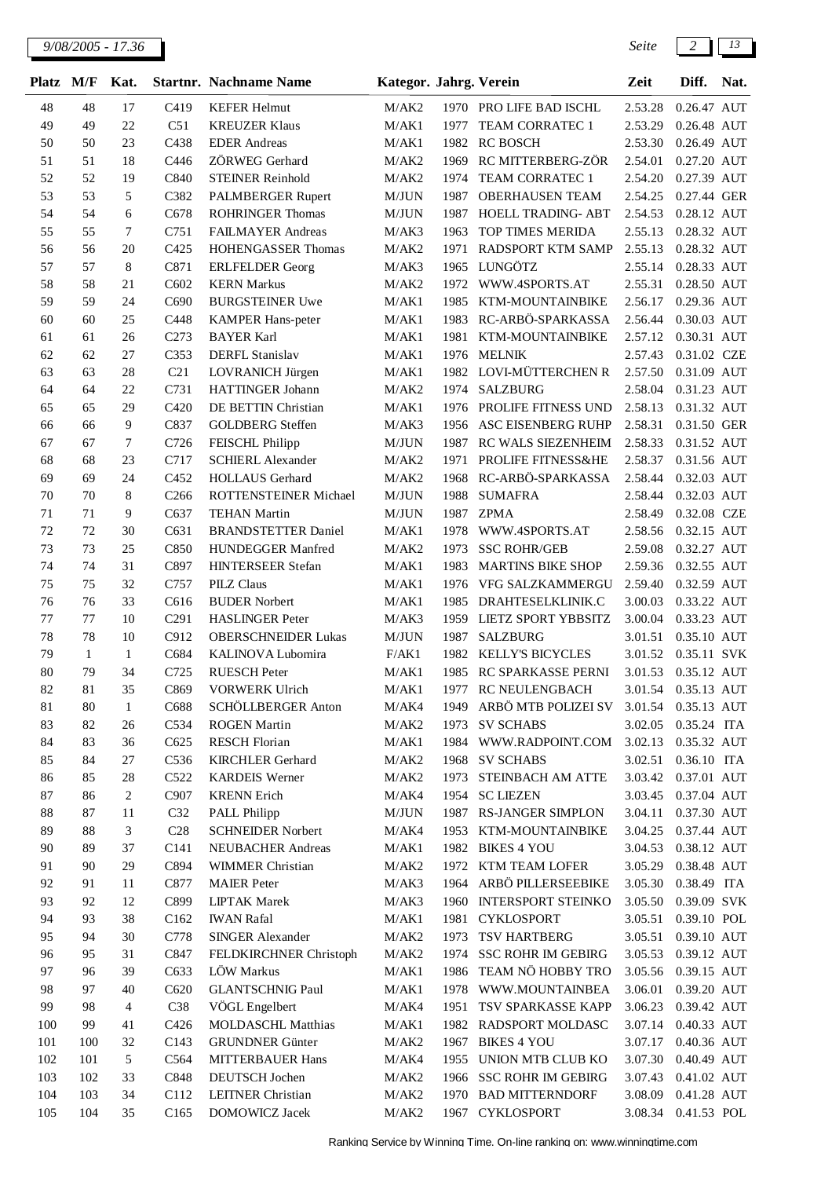| <b>Platz</b> | M/F          | Kat.             |                  | <b>Startnr.</b> Nachname Name               | Kategor. Jahrg. Verein |      |                                     | Zeit               | Diff.                      | Nat. |
|--------------|--------------|------------------|------------------|---------------------------------------------|------------------------|------|-------------------------------------|--------------------|----------------------------|------|
| 48           | 48           | 17               | C419             | <b>KEFER Helmut</b>                         | M/AK2                  |      | 1970 PRO LIFE BAD ISCHL             | 2.53.28            | 0.26.47 AUT                |      |
| 49           | 49           | $22\,$           | C51              | <b>KREUZER Klaus</b>                        | M/AK1                  | 1977 | TEAM CORRATEC 1                     | 2.53.29            | 0.26.48 AUT                |      |
| 50           | 50           | 23               | C438             | <b>EDER</b> Andreas                         | M/AK1                  | 1982 | <b>RC BOSCH</b>                     | 2.53.30            | 0.26.49 AUT                |      |
| 51           | 51           | 18               | C446             | ZÖRWEG Gerhard                              | M/AK2                  | 1969 | RC MITTERBERG-ZÖR                   | 2.54.01            | 0.27.20 AUT                |      |
| 52           | 52           | 19               | C840             | <b>STEINER Reinhold</b>                     | M/AK2                  | 1974 | TEAM CORRATEC 1                     | 2.54.20            | 0.27.39 AUT                |      |
| 53           | 53           | 5                | C382             | PALMBERGER Rupert                           | M/JUN                  | 1987 | <b>OBERHAUSEN TEAM</b>              | 2.54.25            | 0.27.44 GER                |      |
| 54           | 54           | 6                | C678             | <b>ROHRINGER Thomas</b>                     | M/JUN                  | 1987 | HOELL TRADING- ABT                  | 2.54.53            | 0.28.12 AUT                |      |
| 55           | 55           | 7                | C751             | <b>FAILMAYER Andreas</b>                    | M/AK3                  | 1963 | TOP TIMES MERIDA                    | 2.55.13            | 0.28.32 AUT                |      |
| 56           | 56           | 20               | C425             | HOHENGASSER Thomas                          | M/AK2                  | 1971 | RADSPORT KTM SAMP                   | 2.55.13            | 0.28.32 AUT                |      |
| 57           | 57           | 8                | C871             | <b>ERLFELDER</b> Georg                      | M/AK3                  |      | 1965 LUNGÖTZ                        | 2.55.14            | 0.28.33 AUT                |      |
| 58           | 58           | 21               | C602             | <b>KERN</b> Markus                          | M/AK2                  | 1972 | WWW.4SPORTS.AT                      | 2.55.31            | 0.28.50 AUT                |      |
| 59           | 59           | 24               | C690             | <b>BURGSTEINER Uwe</b>                      | M/AK1                  | 1985 | KTM-MOUNTAINBIKE                    | 2.56.17            | 0.29.36 AUT                |      |
| 60           | 60           | 25               | C448             | KAMPER Hans-peter                           | M/AK1                  | 1983 | RC-ARBÖ-SPARKASSA                   | 2.56.44            | 0.30.03 AUT                |      |
| 61           | 61           | 26               | C273             | <b>BAYER Karl</b>                           | M/AK1                  | 1981 | KTM-MOUNTAINBIKE                    | 2.57.12            | 0.30.31 AUT                |      |
| 62           | 62           | 27               | C353             | DERFL Stanislav                             | M/AK1                  | 1976 | <b>MELNIK</b>                       | 2.57.43            | 0.31.02 CZE                |      |
| 63           | 63           | 28               | C21              | LOVRANICH Jürgen                            | M/AK1                  |      | 1982 LOVI-MÜTTERCHEN R              | 2.57.50            | 0.31.09 AUT                |      |
| 64           | 64           | 22               | C731             | <b>HATTINGER Johann</b>                     | M/AK2                  | 1974 | <b>SALZBURG</b>                     | 2.58.04            | 0.31.23 AUT                |      |
| 65           | 65           | 29               | C420             | DE BETTIN Christian                         | M/AK1                  | 1976 | PROLIFE FITNESS UND                 | 2.58.13            | 0.31.32 AUT                |      |
| 66           | 66           | 9                | C837             | <b>GOLDBERG</b> Steffen                     | M/AK3                  | 1956 | ASC EISENBERG RUHP                  | 2.58.31            | 0.31.50 GER                |      |
| 67           | 67           | $\tau$           | C726             | FEISCHL Philipp                             | M/JUN                  | 1987 | RC WALS SIEZENHEIM                  | 2.58.33            | 0.31.52 AUT                |      |
| 68           | 68           | 23               | C717             | <b>SCHIERL Alexander</b>                    | M/AK2                  | 1971 | PROLIFE FITNESS&HE                  | 2.58.37            | 0.31.56 AUT                |      |
| 69           | 69           | 24               | C <sub>452</sub> | <b>HOLLAUS</b> Gerhard                      | M/AK2                  | 1968 | RC-ARBÖ-SPARKASSA                   | 2.58.44            | 0.32.03 AUT                |      |
| 70           | 70           | 8                | C <sub>266</sub> | ROTTENSTEINER Michael                       | M/JUN                  | 1988 | <b>SUMAFRA</b>                      | 2.58.44            | 0.32.03 AUT                |      |
| 71           | 71           | 9                | C637             | <b>TEHAN Martin</b>                         | M/JUN                  | 1987 | <b>ZPMA</b>                         | 2.58.49            | 0.32.08 CZE                |      |
| 72           | 72           | 30               | C631             | <b>BRANDSTETTER Daniel</b>                  | M/AK1                  | 1978 | WWW.4SPORTS.AT                      | 2.58.56            | 0.32.15 AUT                |      |
| 73           | 73           | 25               | C850             | HUNDEGGER Manfred                           | M/AK2                  | 1973 | <b>SSC ROHR/GEB</b>                 | 2.59.08            | 0.32.27 AUT                |      |
| 74           | 74           | 31               | C897             | HINTERSEER Stefan                           | M/AK1                  | 1983 | <b>MARTINS BIKE SHOP</b>            | 2.59.36            | 0.32.55 AUT                |      |
| 75           | 75           | 32               | C757             | <b>PILZ Claus</b>                           | M/AK1                  | 1976 | VFG SALZKAMMERGU                    | 2.59.40            | 0.32.59 AUT                |      |
| 76           | 76           | 33               | C616             | <b>BUDER Norbert</b>                        | M/AK1                  | 1985 | DRAHTESELKLINIK.C                   | 3.00.03            | 0.33.22 AUT                |      |
| $77\,$       | 77           | 10               | C <sub>291</sub> | <b>HASLINGER Peter</b>                      | M/AK3                  | 1959 | LIETZ SPORT YBBSITZ                 | 3.00.04            | 0.33.23 AUT                |      |
| 78           | 78           | 10               | C912             | <b>OBERSCHNEIDER Lukas</b>                  | M/JUN                  | 1987 | <b>SALZBURG</b>                     | 3.01.51            | 0.35.10 AUT                |      |
| 79           | $\mathbf{1}$ | $\mathbf{1}$     | C684             | <b>KALINOVA Lubomira</b>                    | F/AK1                  | 1982 | <b>KELLY'S BICYCLES</b>             | 3.01.52            | 0.35.11 SVK                |      |
| 80           | 79           | 34               | C725             | <b>RUESCH Peter</b>                         | M/AK1                  | 1985 | RC SPARKASSE PERNI                  | 3.01.53            | 0.35.12 AUT                |      |
| 82           | 81           | 35               | C869             | <b>VORWERK Ulrich</b>                       | M/AK1                  | 1977 | <b>RC NEULENGBACH</b>               | 3.01.54            | 0.35.13 AUT                |      |
| 81           | 80           | $\mathbf{1}$     | C688             | SCHÖLLBERGER Anton                          | M/AK4                  | 1949 | ARBÖ MTB POLIZEI SV                 | 3.01.54            | 0.35.13 AUT                |      |
| 83           | 82           | 26               | C534             | <b>ROGEN Martin</b>                         | M/AK2                  | 1973 | <b>SV SCHABS</b>                    | 3.02.05            | 0.35.24 ITA                |      |
| 84           | 83           | 36               | C625             | <b>RESCH Florian</b>                        | M/AK1                  | 1984 | WWW.RADPOINT.COM                    | 3.02.13            | 0.35.32 AUT                |      |
| 85<br>86     | 84<br>85     | $27\,$           | C536             | <b>KIRCHLER</b> Gerhard                     | M/AK2                  |      | 1968 SV SCHABS                      | 3.02.51            | 0.36.10 ITA                |      |
| 87           |              | 28<br>$\sqrt{2}$ | C522<br>C907     | <b>KARDEIS Werner</b><br><b>KRENN</b> Erich | M/AK2                  | 1973 | STEINBACH AM ATTE<br>1954 SC LIEZEN | 3.03.42<br>3.03.45 | 0.37.01 AUT<br>0.37.04 AUT |      |
| 88           | 86<br>87     | 11               | C32              | PALL Philipp                                | M/AK4<br>M/JUN         |      | 1987 RS-JANGER SIMPLON              | 3.04.11            | 0.37.30 AUT                |      |
| 89           | 88           | $\mathfrak 3$    | C28              | <b>SCHNEIDER Norbert</b>                    | M/AK4                  | 1953 | KTM-MOUNTAINBIKE                    | 3.04.25            | 0.37.44 AUT                |      |
| 90           | 89           | 37               | C141             | <b>NEUBACHER Andreas</b>                    | M/AK1                  | 1982 | <b>BIKES 4 YOU</b>                  | 3.04.53            | 0.38.12 AUT                |      |
| 91           | 90           | 29               | C894             | <b>WIMMER Christian</b>                     | M/AK2                  | 1972 | KTM TEAM LOFER                      | 3.05.29            | 0.38.48 AUT                |      |
| 92           | 91           | 11               | C877             | <b>MAIER</b> Peter                          | M/AK3                  | 1964 | ARBÖ PILLERSEEBIKE                  | 3.05.30            | 0.38.49 ITA                |      |
| 93           | 92           | 12               | C899             | <b>LIPTAK Marek</b>                         | M/AK3                  | 1960 | <b>INTERSPORT STEINKO</b>           | 3.05.50            | 0.39.09 SVK                |      |
| 94           | 93           | 38               | C <sub>162</sub> | <b>IWAN Rafal</b>                           | M/AK1                  | 1981 | <b>CYKLOSPORT</b>                   | 3.05.51            | 0.39.10 POL                |      |
| 95           | 94           | 30               | C778             | SINGER Alexander                            | M/AK2                  | 1973 | TSV HARTBERG                        | 3.05.51            | 0.39.10 AUT                |      |
| 96           | 95           | 31               | C847             | FELDKIRCHNER Christoph                      | M/AK2                  | 1974 | <b>SSC ROHR IM GEBIRG</b>           | 3.05.53            | 0.39.12 AUT                |      |
| 97           | 96           | 39               | C633             | LÖW Markus                                  | M/AK1                  | 1986 | TEAM NÖ HOBBY TRO                   | 3.05.56            | 0.39.15 AUT                |      |
| 98           | 97           | 40               | C620             | <b>GLANTSCHNIG Paul</b>                     | M/AK1                  |      | 1978 WWW.MOUNTAINBEA                | 3.06.01            | $0.39.20$ $\,\mathrm{AUT}$ |      |
| 99           | 98           | $\overline{4}$   | C38              | VÖGL Engelbert                              | M/AK4                  | 1951 | TSV SPARKASSE KAPP                  | 3.06.23            | 0.39.42 AUT                |      |
| 100          | 99           | 41               | C426             | MOLDASCHL Matthias                          | M/AK1                  | 1982 | RADSPORT MOLDASC                    | 3.07.14            | 0.40.33 AUT                |      |
| 101          | 100          | 32               | C143             | <b>GRUNDNER Günter</b>                      | M/AK2                  | 1967 | <b>BIKES 4 YOU</b>                  | 3.07.17            | 0.40.36 AUT                |      |
| 102          | 101          | 5                | C564             | <b>MITTERBAUER Hans</b>                     | M/AK4                  | 1955 | UNION MTB CLUB KO                   | 3.07.30            | 0.40.49 AUT                |      |
| 103          | 102          | 33               | C848             | DEUTSCH Jochen                              | M/AK2                  | 1966 | <b>SSC ROHR IM GEBIRG</b>           | 3.07.43            | 0.41.02 AUT                |      |
| 104          | 103          | 34               | C112             | LEITNER Christian                           | M/AK2                  | 1970 | <b>BAD MITTERNDORF</b>              | 3.08.09            | 0.41.28 AUT                |      |
| 105          | 104          | 35               | C <sub>165</sub> | <b>DOMOWICZ Jacek</b>                       | M/AK2                  | 1967 | <b>CYKLOSPORT</b>                   | 3.08.34            | 0.41.53 POL                |      |
|              |              |                  |                  |                                             |                        |      |                                     |                    |                            |      |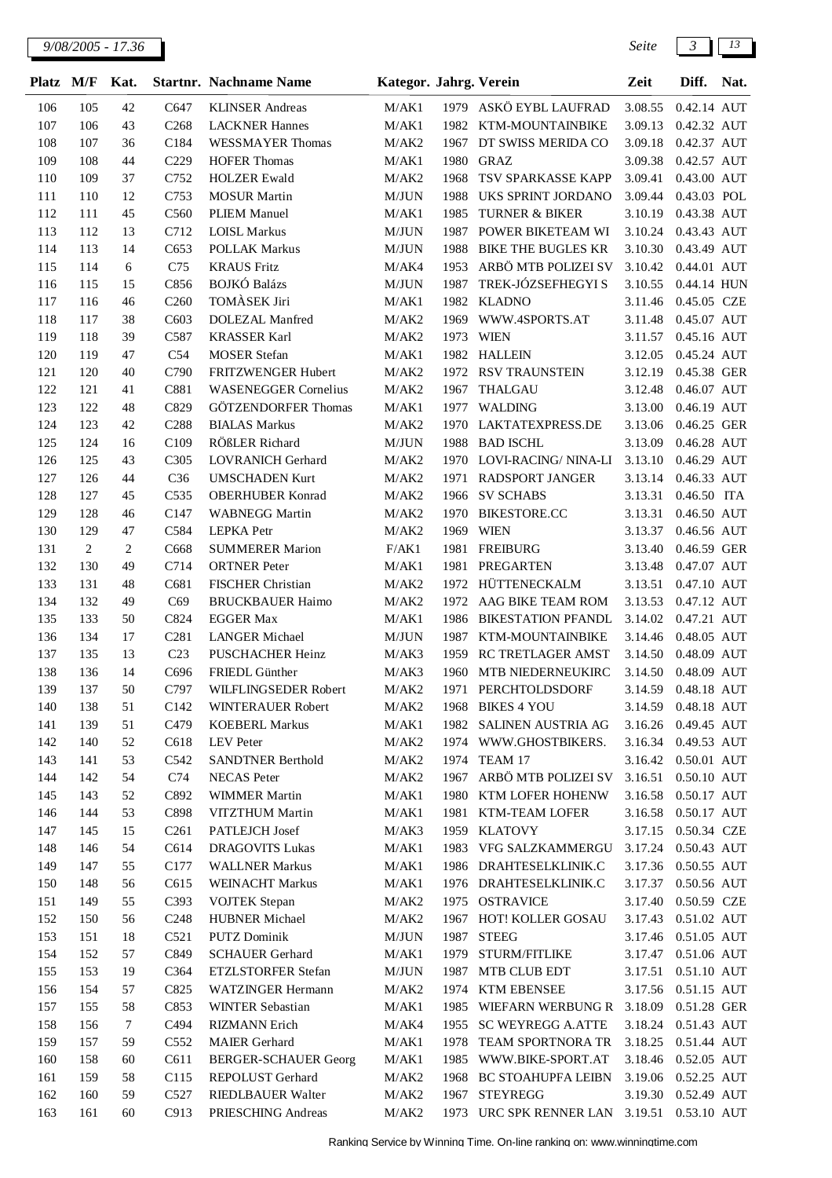| Platz M/F |                | Kat.   |                   | <b>Startnr.</b> Nachname Name | Kategor. Jahrg. Verein |      |                            | Zeit    | Diff.                | Nat. |
|-----------|----------------|--------|-------------------|-------------------------------|------------------------|------|----------------------------|---------|----------------------|------|
| 106       | 105            | 42     | C647              | <b>KLINSER</b> Andreas        | M/AK1                  |      | 1979 ASKÖ EYBL LAUFRAD     | 3.08.55 | 0.42.14 AUT          |      |
| 107       | 106            | 43     | C <sub>268</sub>  | <b>LACKNER Hannes</b>         | M/AK1                  | 1982 | KTM-MOUNTAINBIKE           | 3.09.13 | 0.42.32 AUT          |      |
| 108       | 107            | 36     | C184              | <b>WESSMAYER Thomas</b>       | M/AK2                  | 1967 | DT SWISS MERIDA CO         | 3.09.18 | 0.42.37 AUT          |      |
| 109       | 108            | 44     | C <sub>229</sub>  | <b>HOFER Thomas</b>           | M/AK1                  | 1980 | <b>GRAZ</b>                | 3.09.38 | 0.42.57 AUT          |      |
| 110       | 109            | 37     | C752              | <b>HOLZER Ewald</b>           | M/AK2                  | 1968 | TSV SPARKASSE KAPP         | 3.09.41 | 0.43.00 AUT          |      |
| 111       | 110            | 12     | C753              | <b>MOSUR</b> Martin           | M/JUN                  | 1988 | UKS SPRINT JORDANO         | 3.09.44 | 0.43.03 POL          |      |
| 112       | 111            | 45     | C560              | <b>PLIEM Manuel</b>           | M/AK1                  | 1985 | <b>TURNER &amp; BIKER</b>  | 3.10.19 | 0.43.38 AUT          |      |
| 113       | 112            | 13     | C712              | <b>LOISL Markus</b>           | M/JUN                  | 1987 | POWER BIKETEAM WI          | 3.10.24 | 0.43.43 AUT          |      |
| 114       | 113            | 14     | C653              | <b>POLLAK Markus</b>          | M/JUN                  | 1988 | <b>BIKE THE BUGLES KR</b>  | 3.10.30 | 0.43.49 AUT          |      |
| 115       | 114            | 6      | C75               | <b>KRAUS Fritz</b>            | M/AK4                  | 1953 | ARBÖ MTB POLIZEI SV        | 3.10.42 | 0.44.01 AUT          |      |
| 116       | 115            | 15     | C856              | <b>BOJKÓ Balázs</b>           | M/JUN                  | 1987 | TREK-JÓZSEFHEGYI S         | 3.10.55 | 0.44.14 HUN          |      |
| 117       | 116            | 46     | C <sub>260</sub>  | TOMÀSEK Jiri                  | M/AK1                  | 1982 | <b>KLADNO</b>              | 3.11.46 | 0.45.05 CZE          |      |
| 118       | 117            | 38     | C603              | DOLEZAL Manfred               | M/AK2                  | 1969 | WWW.4SPORTS.AT             | 3.11.48 | 0.45.07 AUT          |      |
| 119       | 118            | 39     | C587              | <b>KRASSER Karl</b>           | M/AK2                  | 1973 | <b>WIEN</b>                | 3.11.57 | 0.45.16 AUT          |      |
| 120       | 119            | 47     | C54               | <b>MOSER</b> Stefan           | M/AK1                  |      | 1982 HALLEIN               | 3.12.05 | 0.45.24 AUT          |      |
| 121       | 120            | 40     | C790              | FRITZWENGER Hubert            | M/AK2                  | 1972 | <b>RSV TRAUNSTEIN</b>      | 3.12.19 | 0.45.38 GER          |      |
| 122       | 121            | 41     | C881              | <b>WASENEGGER Cornelius</b>   | M/AK2                  | 1967 | <b>THALGAU</b>             | 3.12.48 | 0.46.07 AUT          |      |
| 123       | 122            | 48     | C829              | <b>GÖTZENDORFER Thomas</b>    | M/AK1                  | 1977 | WALDING                    | 3.13.00 | 0.46.19 AUT          |      |
| 124       | 123            | 42     | C <sub>288</sub>  | <b>BIALAS Markus</b>          | M/AK2                  | 1970 | LAKTATEXPRESS.DE           | 3.13.06 | 0.46.25 GER          |      |
| 125       | 124            | 16     | C109              | RÖßLER Richard                | M/JUN                  | 1988 | <b>BAD ISCHL</b>           | 3.13.09 | 0.46.28 AUT          |      |
| 126       | 125            | 43     | C <sub>3</sub> 05 | <b>LOVRANICH Gerhard</b>      | M/AK2                  |      | 1970 LOVI-RACING/NINA-LI   | 3.13.10 | 0.46.29 AUT          |      |
| 127       | 126            | 44     | C36               | <b>UMSCHADEN Kurt</b>         | M/AK2                  | 1971 | <b>RADSPORT JANGER</b>     | 3.13.14 | 0.46.33 AUT          |      |
| 128       | 127            | 45     | C535              | <b>OBERHUBER Konrad</b>       | M/AK2                  | 1966 | <b>SV SCHABS</b>           | 3.13.31 | 0.46.50 ITA          |      |
| 129       | 128            | 46     | C147              | <b>WABNEGG Martin</b>         | M/AK2                  | 1970 | <b>BIKESTORE.CC</b>        | 3.13.31 | 0.46.50 AUT          |      |
| 130       | 129            | 47     | C584              | <b>LEPKA</b> Petr             | M/AK2                  | 1969 | <b>WIEN</b>                | 3.13.37 | 0.46.56 AUT          |      |
| 131       | $\overline{c}$ | 2      | C668              | <b>SUMMERER Marion</b>        | F/AK1                  | 1981 | <b>FREIBURG</b>            | 3.13.40 | 0.46.59 GER          |      |
| 132       | 130            | 49     | C714              | <b>ORTNER</b> Peter           | M/AK1                  | 1981 | <b>PREGARTEN</b>           | 3.13.48 | 0.47.07 AUT          |      |
| 133       | 131            | 48     | C681              | FISCHER Christian             | M/AK2                  | 1972 | HÜTTENECKALM               | 3.13.51 | 0.47.10 AUT          |      |
| 134       | 132            | 49     | C69               | <b>BRUCKBAUER Haimo</b>       | M/AK2                  | 1972 | AAG BIKE TEAM ROM          | 3.13.53 | 0.47.12 AUT          |      |
| 135       | 133            | 50     | C824              | <b>EGGER Max</b>              | M/AK1                  | 1986 | <b>BIKESTATION PFANDL</b>  | 3.14.02 | 0.47.21 AUT          |      |
| 136       | 134            | 17     | C <sub>281</sub>  | <b>LANGER Michael</b>         | M/JUN                  | 1987 | KTM-MOUNTAINBIKE           | 3.14.46 | 0.48.05 AUT          |      |
| 137       | 135            | 13     | C <sub>23</sub>   | <b>PUSCHACHER Heinz</b>       | M/AK3                  | 1959 | RC TRETLAGER AMST          | 3.14.50 | 0.48.09 AUT          |      |
| 138       | 136            | 14     | C696              | FRIEDL Günther                | M/AK3                  | 1960 | MTB NIEDERNEUKIRC          | 3.14.50 | 0.48.09 AUT          |      |
| 139       | 137            | 50     | C797              | WILFLINGSEDER Robert          | M/AK2                  | 1971 | PERCHTOLDSDORF             | 3.14.59 | 0.48.18 AUT          |      |
| 140       | 138            | 51     | C <sub>142</sub>  | WINTERAUER Robert             | M/AK2                  |      | 1968 BIKES 4 YOU           | 3.14.59 | 0.48.18 AUT          |      |
| 141       | 139            | 51     | C479              | <b>KOEBERL Markus</b>         | M/AK1                  | 1982 | SALINEN AUSTRIA AG         | 3.16.26 | 0.49.45 AUT          |      |
| 142       | 140            | 52     | C618              | <b>LEV</b> Peter              | M/AK2                  |      | 1974 WWW.GHOSTBIKERS.      | 3.16.34 | 0.49.53 AUT          |      |
| 143       | 141            | 53     | C542              | SANDTNER Berthold             | M/AK2                  | 1974 | TEAM 17                    | 3.16.42 | 0.50.01 AUT          |      |
| 144       | 142            | 54     | C <sub>74</sub>   | <b>NECAS</b> Peter            | M/AK2                  | 1967 | ARBÖ MTB POLIZEI SV        | 3.16.51 | 0.50.10 AUT          |      |
| 145       | 143            | 52     | C892              | <b>WIMMER Martin</b>          | M/AK1                  | 1980 | KTM LOFER HOHENW           | 3.16.58 | 0.50.17 AUT          |      |
| 146       | 144            | 53     | C898              | VITZTHUM Martin               | M/AK1                  |      | 1981 KTM-TEAM LOFER        | 3.16.58 | 0.50.17 AUT          |      |
| 147       | 145            | 15     | C <sub>261</sub>  | PATLEJCH Josef                | M/AK3                  | 1959 | <b>KLATOVY</b>             | 3.17.15 | 0.50.34 CZE          |      |
| 148       | 146            | 54     | C614              | <b>DRAGOVITS Lukas</b>        | M/AK1                  |      | 1983 VFG SALZKAMMERGU      | 3.17.24 | 0.50.43 AUT          |      |
| 149       | 147            | 55     | C177              | <b>WALLNER Markus</b>         | M/AK1                  |      | 1986 DRAHTESELKLINIK.C     | 3.17.36 | 0.50.55 AUT          |      |
| 150       | 148            | 56     | C615              | <b>WEINACHT Markus</b>        | M/AK1                  |      | 1976 DRAHTESELKLINIK.C     | 3.17.37 | 0.50.56 AUT          |      |
| 151       | 149            | 55     | C393              | <b>VOJTEK</b> Stepan          | M/AK2                  | 1975 | <b>OSTRAVICE</b>           | 3.17.40 | 0.50.59 CZE          |      |
| 152       | 150            | 56     | C <sub>248</sub>  | <b>HUBNER Michael</b>         | M/AK2                  | 1967 | HOT! KOLLER GOSAU          | 3.17.43 | $0.51.02\hbox{~AUT}$ |      |
| 153       | 151            | 18     | C521              | <b>PUTZ Dominik</b>           | M/JUN                  | 1987 | <b>STEEG</b>               | 3.17.46 | 0.51.05 AUT          |      |
| 154       | 152            | 57     | C849              | <b>SCHAUER Gerhard</b>        | M/AK1                  | 1979 | STURM/FITLIKE              | 3.17.47 | 0.51.06 AUT          |      |
| 155       | 153            | 19     | C364              | ETZLSTORFER Stefan            | M/JUN                  | 1987 | MTB CLUB EDT               | 3.17.51 | 0.51.10 AUT          |      |
| 156       | 154            | 57     | C825              | WATZINGER Hermann             | M/AK2                  |      | 1974 KTM EBENSEE           | 3.17.56 | 0.51.15 AUT          |      |
| 157       | 155            | 58     | C853              | WINTER Sebastian              | M/AK1                  | 1985 | WIEFARN WERBUNG R 3.18.09  |         | 0.51.28 GER          |      |
| 158       | 156            | $\tau$ | C494              | <b>RIZMANN</b> Erich          | M/AK4                  | 1955 | <b>SC WEYREGG A.ATTE</b>   | 3.18.24 | 0.51.43 AUT          |      |
| 159       | 157            | 59     | C552              | MAIER Gerhard                 | M/AK1                  | 1978 | TEAM SPORTNORA TR          | 3.18.25 | 0.51.44 AUT          |      |
| 160       | 158            | 60     | C611              | <b>BERGER-SCHAUER Georg</b>   | M/AK1                  | 1985 | WWW.BIKE-SPORT.AT          | 3.18.46 | 0.52.05 AUT          |      |
| 161       | 159            | 58     | C115              | REPOLUST Gerhard              | M/AK2                  | 1968 | <b>BC STOAHUPFA LEIBN</b>  | 3.19.06 | 0.52.25 AUT          |      |
| 162       | 160            | 59     | C527              | RIEDLBAUER Walter             | M/AK2                  | 1967 | <b>STEYREGG</b>            | 3.19.30 | 0.52.49 AUT          |      |
| 163       | 161            | 60     | C913              | PRIESCHING Andreas            | M/AK2                  | 1973 | URC SPK RENNER LAN 3.19.51 |         | 0.53.10 AUT          |      |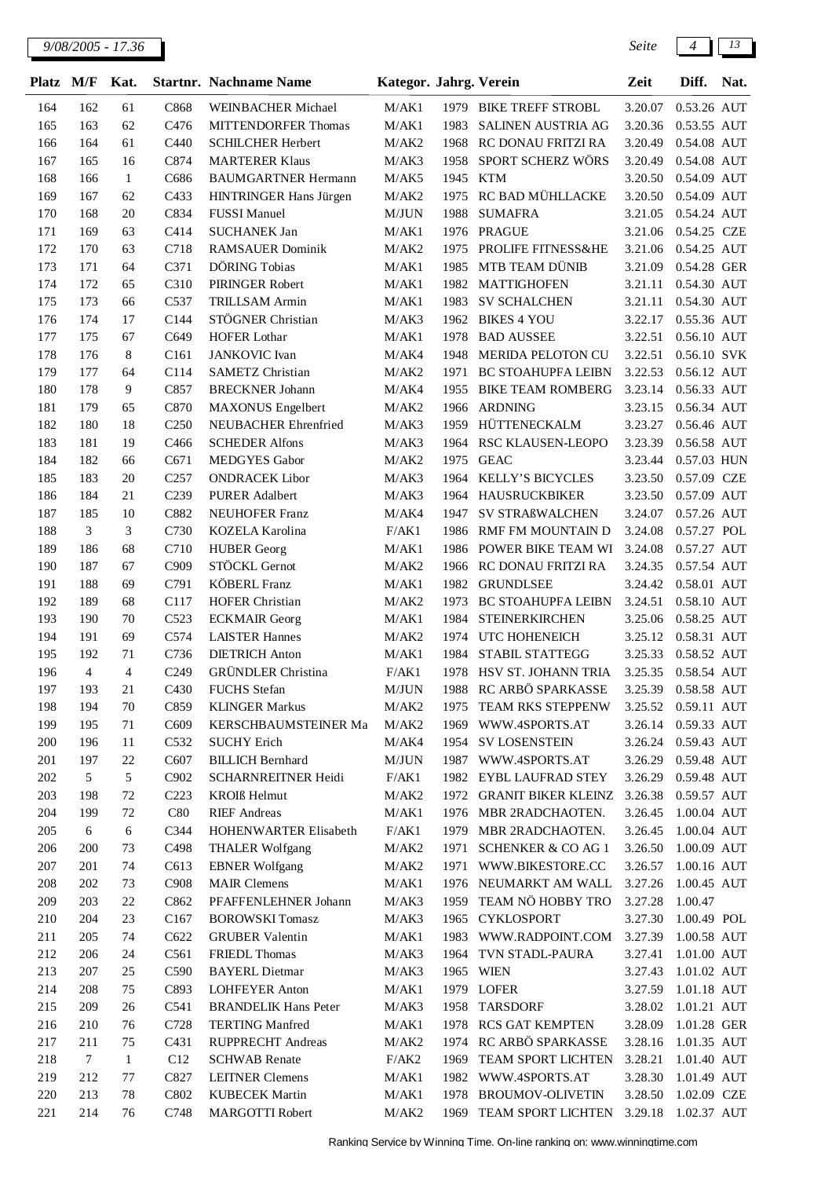| Platz      | M/F        | Kat.         |                  | <b>Startnr. Nachname Name</b>                 | Kategor. Jahrg. Verein |              |                                               | Zeit               | Diff.                      | Nat. |
|------------|------------|--------------|------------------|-----------------------------------------------|------------------------|--------------|-----------------------------------------------|--------------------|----------------------------|------|
| 164        | 162        | 61           | C868             | WEINBACHER Michael                            | M/AK1                  | 1979         | <b>BIKE TREFF STROBL</b>                      | 3.20.07            | 0.53.26 AUT                |      |
| 165        | 163        | 62           | C476             | <b>MITTENDORFER Thomas</b>                    | M/AK1                  | 1983         | <b>SALINEN AUSTRIA AG</b>                     | 3.20.36            | 0.53.55 AUT                |      |
| 166        | 164        | 61           | C440             | <b>SCHILCHER Herbert</b>                      | M/AK2                  | 1968         | RC DONAU FRITZI RA                            | 3.20.49            | 0.54.08 AUT                |      |
| 167        | 165        | 16           | C874             | <b>MARTERER Klaus</b>                         | M/AK3                  | 1958         | SPORT SCHERZ WÖRS                             | 3.20.49            | 0.54.08 AUT                |      |
| 168        | 166        | 1            | C686             | <b>BAUMGARTNER Hermann</b>                    | M/AK5                  | 1945         | <b>KTM</b>                                    | 3.20.50            | 0.54.09 AUT                |      |
| 169        | 167        | 62           | C433             | HINTRINGER Hans Jürgen                        | M/AK2                  | 1975         | RC BAD MÜHLLACKE                              | 3.20.50            | 0.54.09 AUT                |      |
| 170        | 168        | 20           | C834             | <b>FUSSI</b> Manuel                           | M/JUN                  | 1988         | <b>SUMAFRA</b>                                | 3.21.05            | 0.54.24 AUT                |      |
| 171        | 169        | 63           | C414             | <b>SUCHANEK Jan</b>                           | M/AK1                  | 1976         | <b>PRAGUE</b>                                 | 3.21.06            | 0.54.25 CZE                |      |
| 172        | 170        | 63           | C718             | <b>RAMSAUER Dominik</b>                       | M/AK2                  | 1975         | PROLIFE FITNESS&HE                            | 3.21.06            | 0.54.25 AUT                |      |
| 173        | 171        | 64           | C371             | DÖRING Tobias                                 | M/AK1                  | 1985         | MTB TEAM DÜNIB                                | 3.21.09            | 0.54.28 GER                |      |
| 174        | 172        | 65           | C310             | PIRINGER Robert                               | M/AK1                  | 1982         | <b>MATTIGHOFEN</b>                            | 3.21.11            | 0.54.30 AUT                |      |
| 175        | 173        | 66           | C537             | <b>TRILLSAM Armin</b>                         | M/AK1                  | 1983         | <b>SV SCHALCHEN</b>                           | 3.21.11            | 0.54.30 AUT                |      |
| 176        | 174        | 17           | C144             | STÖGNER Christian                             | M/AK3                  | 1962         | <b>BIKES 4 YOU</b>                            | 3.22.17            | 0.55.36 AUT                |      |
| 177        | 175        | 67           | C649             | <b>HOFER Lothar</b>                           | M/AK1                  | 1978         | <b>BAD AUSSEE</b>                             | 3.22.51            | 0.56.10 AUT                |      |
| 178        | 176        | 8            | C <sub>161</sub> | <b>JANKOVIC</b> Ivan                          | M/AK4                  | 1948         | <b>MERIDA PELOTON CU</b>                      | 3.22.51            | 0.56.10 SVK                |      |
| 179        | 177        | 64           | C114             | SAMETZ Christian                              | M/AK2                  | 1971         | <b>BC STOAHUPFA LEIBN</b>                     | 3.22.53            | 0.56.12 AUT                |      |
| 180        | 178        | 9            | C857             | <b>BRECKNER Johann</b>                        | M/AK4                  | 1955         | <b>BIKE TEAM ROMBERG</b>                      | 3.23.14            | 0.56.33 AUT                |      |
| 181        | 179        | 65           | C870             | <b>MAXONUS</b> Engelbert                      | M/AK2                  | 1966         | <b>ARDNING</b>                                | 3.23.15            | 0.56.34 AUT                |      |
| 182        | 180        | 18           | C <sub>250</sub> | NEUBACHER Ehrenfried                          | M/AK3                  | 1959         | HÜTTENECKALM                                  | 3.23.27            | 0.56.46 AUT                |      |
| 183        | 181        | 19           | C466             | <b>SCHEDER Alfons</b>                         | M/AK3                  | 1964         | RSC KLAUSEN-LEOPO                             | 3.23.39            | 0.56.58 AUT                |      |
| 184        | 182        | 66           | C671             | <b>MEDGYES</b> Gabor                          | M/AK2                  | 1975         | <b>GEAC</b>                                   | 3.23.44            | 0.57.03 HUN                |      |
| 185        | 183        | 20           | C <sub>257</sub> | <b>ONDRACEK Libor</b>                         | M/AK3                  | 1964         | KELLY'S BICYCLES                              | 3.23.50            | 0.57.09 CZE                |      |
| 186        | 184        | 21           | C239             | <b>PURER Adalbert</b>                         | M/AK3                  | 1964         | <b>HAUSRUCKBIKER</b>                          | 3.23.50            | 0.57.09 AUT                |      |
| 187        | 185        | 10           | C882             | <b>NEUHOFER Franz</b>                         | M/AK4                  | 1947         | SV STRAßWALCHEN                               | 3.24.07            | 0.57.26 AUT                |      |
| 188        | 3          | 3            | C730             | KOZELA Karolina                               | F/AK1                  | 1986         | RMF FM MOUNTAIN D                             | 3.24.08            | 0.57.27 POL                |      |
| 189        | 186        | 68           | C710             | <b>HUBER</b> Georg                            | M/AK1                  | 1986         | POWER BIKE TEAM WI                            | 3.24.08            | 0.57.27 AUT                |      |
| 190        | 187        | 67           | C909             | STÖCKL Gernot                                 | M/AK2                  | 1966         | RC DONAU FRITZI RA                            | 3.24.35            | 0.57.54 AUT                |      |
| 191        | 188        | 69           | C791             | <b>KÖBERL Franz</b>                           | M/AK1                  | 1982         | <b>GRUNDLSEE</b>                              | 3.24.42            | 0.58.01 AUT                |      |
| 192        | 189        | 68           | C117             | <b>HOFER Christian</b>                        | M/AK2                  | 1973         | <b>BC STOAHUPFA LEIBN</b>                     | 3.24.51            | 0.58.10 AUT                |      |
| 193        | 190        | 70           | C523             | <b>ECKMAIR</b> Georg                          | M/AK1                  | 1984         | <b>STEINERKIRCHEN</b>                         | 3.25.06            | 0.58.25 AUT                |      |
| 194        | 191        | 69           | C574             | <b>LAISTER Hannes</b>                         | M/AK2                  | 1974         | UTC HOHENEICH                                 | 3.25.12            | 0.58.31 AUT                |      |
| 195        | 192        | 71           | C736             | <b>DIETRICH Anton</b>                         | M/AK1                  | 1984         | STABIL STATTEGG                               | 3.25.33            | 0.58.52 AUT                |      |
| 196        | 4          | 4            | C <sub>249</sub> | <b>GRÜNDLER</b> Christina                     | F/AK1                  | 1978         | HSV ST. JOHANN TRIA<br>1988 RC ARBÖ SPARKASSE | 3.25.35            | 0.58.54 AUT                |      |
| 197        | 193        | 21           | C430             | <b>FUCHS</b> Stefan                           | M/JUN                  |              |                                               | 3.25.39            | 0.58.58 AUT                |      |
| 198        | 194        | 70           | C859             | <b>KLINGER Markus</b><br>KERSCHBAUMSTEINER Ma | M/AK2                  | 1975         | TEAM RKS STEPPENW                             |                    | 3.25.52  0.59.11  AUT      |      |
| 199<br>200 | 195<br>196 | 71<br>11     | C609<br>C532     | <b>SUCHY Erich</b>                            | M/AK2<br>M/AK4         | 1969<br>1954 | WWW.4SPORTS.AT<br><b>SV LOSENSTEIN</b>        | 3.26.14<br>3.26.24 | 0.59.33 AUT<br>0.59.43 AUT |      |
| 201        | 197        | $22\,$       | C607             | <b>BILLICH Bernhard</b>                       | M/JUN                  | 1987         | WWW.4SPORTS.AT                                | 3.26.29            | 0.59.48 AUT                |      |
| 202        | 5          | $\sqrt{5}$   | C902             | <b>SCHARNREITNER Heidi</b>                    | F/AK1                  |              | 1982 EYBL LAUFRAD STEY                        | 3.26.29            | 0.59.48 AUT                |      |
| 203        | 198        | 72           | C <sub>223</sub> | <b>KROIS</b> Helmut                           | M/AK2                  | 1972         | GRANIT BIKER KLEINZ                           | 3.26.38            | 0.59.57 AUT                |      |
| 204        | 199        | 72           | C80              | <b>RIEF</b> Andreas                           | M/AK1                  | 1976         | MBR 2RADCHAOTEN.                              | 3.26.45            | 1.00.04 AUT                |      |
| 205        | 6          | 6            | C344             | HOHENWARTER Elisabeth                         | F/AK1                  | 1979         | MBR 2RADCHAOTEN.                              | 3.26.45            | 1.00.04 AUT                |      |
| 206        | 200        | 73           | C498             | <b>THALER Wolfgang</b>                        | M/AK2                  | 1971         | <b>SCHENKER &amp; CO AG 1</b>                 | 3.26.50            | 1.00.09 AUT                |      |
| 207        | 201        | 74           | C613             | <b>EBNER</b> Wolfgang                         | M/AK2                  | 1971         | WWW.BIKESTORE.CC                              | 3.26.57            | 1.00.16 AUT                |      |
| 208        | 202        | 73           | C <sub>908</sub> | <b>MAIR Clemens</b>                           | M/AK1                  | 1976         | NEUMARKT AM WALL                              | 3.27.26            | 1.00.45 AUT                |      |
| 209        | 203        | 22           | C862             | PFAFFENLEHNER Johann                          | M/AK3                  | 1959         | TEAM NÖ HOBBY TRO                             | 3.27.28            | 1.00.47                    |      |
| 210        | 204        | 23           | C <sub>167</sub> | <b>BOROWSKI</b> Tomasz                        | M/AK3                  | 1965         | <b>CYKLOSPORT</b>                             | 3.27.30            | 1.00.49 POL                |      |
| 211        | 205        | 74           | C622             | <b>GRUBER Valentin</b>                        | M/AK1                  | 1983         | WWW.RADPOINT.COM                              | 3.27.39            | 1.00.58 AUT                |      |
| 212        | 206        | 24           | C561             | <b>FRIEDL Thomas</b>                          | M/AK3                  |              | 1964 TVN STADL-PAURA                          | 3.27.41            | 1.01.00 AUT                |      |
| 213        | 207        | 25           | C590             | <b>BAYERL Dietmar</b>                         | M/AK3                  |              | 1965 WIEN                                     | 3.27.43            | 1.01.02 AUT                |      |
| 214        | 208        | 75           | C893             | <b>LOHFEYER Anton</b>                         | M/AK1                  |              | 1979 LOFER                                    | 3.27.59            | 1.01.18 AUT                |      |
| 215        | 209        | 26           | C541             | <b>BRANDELIK Hans Peter</b>                   | M/AK3                  | 1958         | <b>TARSDORF</b>                               | 3.28.02            | 1.01.21 AUT                |      |
| 216        | 210        | 76           | C728             | <b>TERTING Manfred</b>                        | M/AK1                  | 1978         | <b>RCS GAT KEMPTEN</b>                        | 3.28.09            | 1.01.28 GER                |      |
| 217        | 211        | 75           | C431             | RUPPRECHT Andreas                             | M/AK2                  | 1974         | RC ARBÖ SPARKASSE                             | 3.28.16            | 1.01.35 AUT                |      |
| 218        | $\tau$     | $\mathbf{1}$ | C12              | <b>SCHWAB</b> Renate                          | F/AK2                  | 1969         | TEAM SPORT LICHTEN                            | 3.28.21            | 1.01.40 AUT                |      |
| 219        | 212        | 77           | C827             | <b>LEITNER Clemens</b>                        | M/AK1                  | 1982         | WWW.4SPORTS.AT                                | 3.28.30            | 1.01.49 AUT                |      |
| 220        | 213        | 78           | C802             | <b>KUBECEK Martin</b>                         | M/AK1                  | 1978         | <b>BROUMOV-OLIVETIN</b>                       | 3.28.50            | 1.02.09 CZE                |      |
| 221        | 214        | 76           | C748             | <b>MARGOTTI Robert</b>                        | M/AK2                  | 1969         | TEAM SPORT LICHTEN                            | 3.29.18            | 1.02.37 AUT                |      |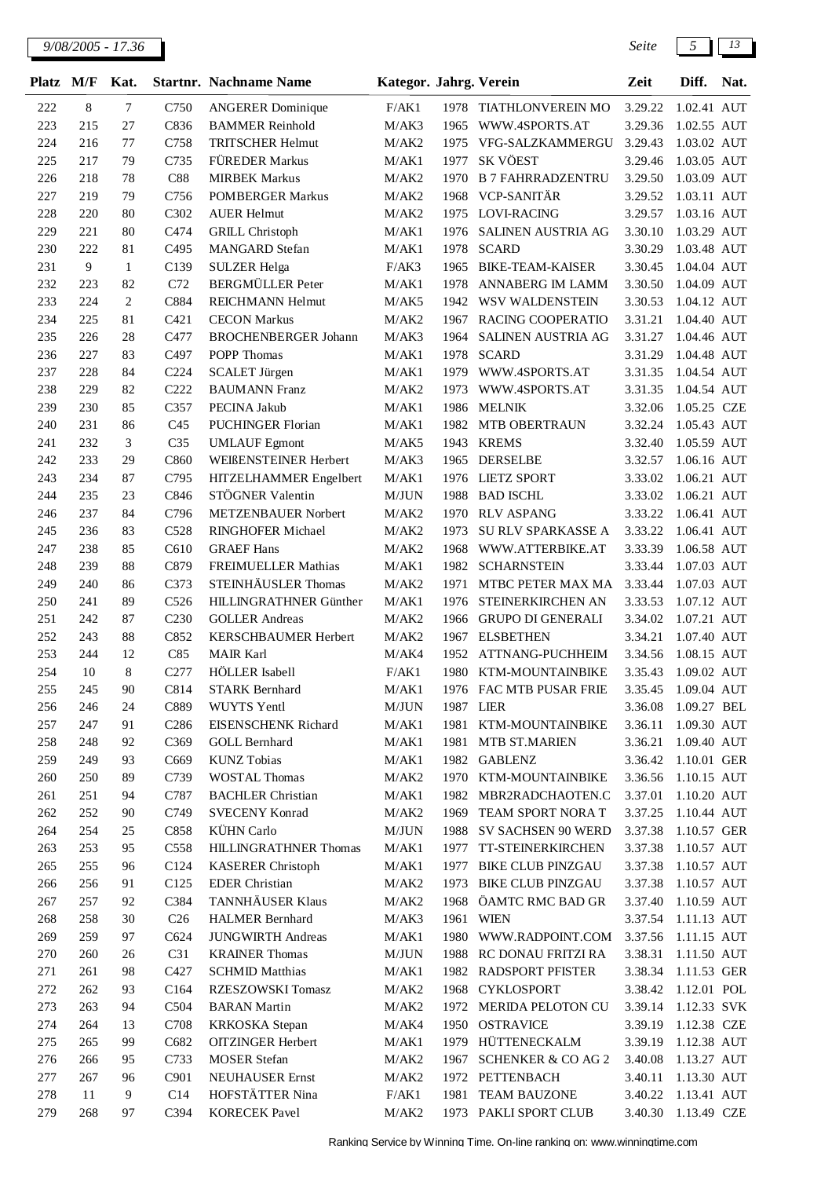| <b>Platz</b> | M/F        | Kat.         |                         | <b>Startnr. Nachname Name</b>                      | Kategor. Jahrg. Verein |           |                                      | Zeit               | Diff.                      | Nat. |
|--------------|------------|--------------|-------------------------|----------------------------------------------------|------------------------|-----------|--------------------------------------|--------------------|----------------------------|------|
| 222          | $8\,$      | 7            | C750                    | <b>ANGERER</b> Dominique                           | F/AK1                  |           | 1978 TIATHLONVEREIN MO               | 3.29.22            | 1.02.41 AUT                |      |
| 223          | 215        | 27           | C836                    | <b>BAMMER Reinhold</b>                             | M/AK3                  | 1965      | WWW.4SPORTS.AT                       | 3.29.36            | 1.02.55 AUT                |      |
| 224          | 216        | 77           | C758                    | <b>TRITSCHER Helmut</b>                            | M/AK2                  | 1975      | VFG-SALZKAMMERGU                     | 3.29.43            | 1.03.02 AUT                |      |
| 225          | 217        | 79           | C735                    | FÜREDER Markus                                     | M/AK1                  | 1977      | SK VÖEST                             | 3.29.46            | 1.03.05 AUT                |      |
| 226          | 218        | 78           | C88                     | <b>MIRBEK Markus</b>                               | M/AK2                  | 1970      | <b>B 7 FAHRRADZENTRU</b>             | 3.29.50            | 1.03.09 AUT                |      |
| 227          | 219        | 79           | C756                    | <b>POMBERGER Markus</b>                            | M/AK2                  | 1968      | VCP-SANITÄR                          | 3.29.52            | 1.03.11 AUT                |      |
| 228          | 220        | 80           | C302                    | <b>AUER Helmut</b>                                 | M/AK2                  | 1975      | LOVI-RACING                          | 3.29.57            | 1.03.16 AUT                |      |
| 229          | 221        | 80           | C474                    | <b>GRILL Christoph</b>                             | M/AK1                  | 1976      | SALINEN AUSTRIA AG                   | 3.30.10            | 1.03.29 AUT                |      |
| 230          | 222        | 81           | C495                    | <b>MANGARD</b> Stefan                              | M/AK1                  | 1978      | <b>SCARD</b>                         | 3.30.29            | 1.03.48 AUT                |      |
| 231          | 9          | $\mathbf{1}$ | C139                    | <b>SULZER Helga</b>                                | F/AK3                  | 1965      | <b>BIKE-TEAM-KAISER</b>              | 3.30.45            | 1.04.04 AUT                |      |
| 232          | 223        | 82           | C72                     | <b>BERGMÜLLER</b> Peter                            | M/AK1                  | 1978      | ANNABERG IM LAMM                     | 3.30.50            | 1.04.09 AUT                |      |
| 233          | 224        | $\sqrt{2}$   | C884                    | <b>REICHMANN Helmut</b>                            | M/AK5                  | 1942      | WSV WALDENSTEIN                      | 3.30.53            | 1.04.12 AUT                |      |
| 234          | 225        | 81           | C421                    | <b>CECON Markus</b>                                | M/AK2                  | 1967      | RACING COOPERATIO                    | 3.31.21            | 1.04.40 AUT                |      |
| 235          | 226        | 28           | C477                    | <b>BROCHENBERGER Johann</b>                        | M/AK3                  | 1964      | SALINEN AUSTRIA AG                   | 3.31.27            | 1.04.46 AUT                |      |
| 236          | 227        | 83           | C497                    | <b>POPP</b> Thomas                                 | M/AK1                  | 1978      | <b>SCARD</b>                         | 3.31.29            | 1.04.48 AUT                |      |
| 237          | 228        | 84           | C224                    | <b>SCALET Jürgen</b>                               | M/AK1                  | 1979      | WWW.4SPORTS.AT                       | 3.31.35            | 1.04.54 AUT                |      |
| 238          | 229        | 82           | C222                    | <b>BAUMANN</b> Franz                               | M/AK2                  | 1973      | WWW.4SPORTS.AT                       | 3.31.35            | 1.04.54 AUT                |      |
| 239          | 230        | 85           | C357                    | PECINA Jakub                                       | M/AK1                  | 1986      | <b>MELNIK</b>                        | 3.32.06            | 1.05.25 CZE                |      |
| 240          | 231        | 86           | C <sub>45</sub>         | <b>PUCHINGER Florian</b>                           | M/AK1                  | 1982      | MTB OBERTRAUN                        | 3.32.24            | 1.05.43 AUT                |      |
| 241          | 232        | 3            | C <sub>35</sub>         | <b>UMLAUF</b> Egmont                               | M/AK5                  | 1943      | <b>KREMS</b>                         | 3.32.40            | 1.05.59 AUT                |      |
| 242          | 233        | 29           | C860                    | WEIßENSTEINER Herbert                              | M/AK3                  | 1965      | <b>DERSELBE</b>                      | 3.32.57            | 1.06.16 AUT                |      |
| 243          | 234        | 87           | C795                    | HITZELHAMMER Engelbert                             | M/AK1                  | 1976      | <b>LIETZ SPORT</b>                   | 3.33.02            | 1.06.21 AUT                |      |
| 244          | 235        | 23           | C846                    | STÖGNER Valentin                                   | M/JUN                  | 1988      | <b>BAD ISCHL</b>                     | 3.33.02            | 1.06.21 AUT                |      |
| 246          | 237        | 84           | C796                    | METZENBAUER Norbert                                | M/AK2                  | 1970      | <b>RLV ASPANG</b>                    | 3.33.22            | 1.06.41 AUT                |      |
| 245          | 236        | 83           | C528                    | RINGHOFER Michael                                  | M/AK2                  | 1973      | SU RLV SPARKASSE A                   | 3.33.22            | 1.06.41 AUT                |      |
| 247          | 238        | 85           | C610                    | <b>GRAEF Hans</b>                                  | M/AK2                  | 1968      | WWW.ATTERBIKE.AT                     | 3.33.39            | 1.06.58 AUT                |      |
| 248          | 239        | 88           | C879                    | FREIMUELLER Mathias                                | M/AK1                  | 1982      | <b>SCHARNSTEIN</b>                   | 3.33.44            | 1.07.03 AUT                |      |
| 249          | 240        | 86           | C373                    | STEINHÄUSLER Thomas                                | M/AK2                  | 1971      | MTBC PETER MAX MA                    | 3.33.44            | 1.07.03 AUT                |      |
| 250          | 241        | 89           | C526                    | HILLINGRATHNER Günther                             | M/AK1                  | 1976      | STEINERKIRCHEN AN                    | 3.33.53            | 1.07.12 AUT                |      |
| 251          | 242        | 87           | C <sub>230</sub>        | <b>GOLLER Andreas</b>                              | M/AK2                  | 1966      | <b>GRUPO DI GENERALI</b>             | 3.34.02            | 1.07.21 AUT                |      |
| 252          | 243        | 88           | C852                    | KERSCHBAUMER Herbert                               | M/AK2                  | 1967      | <b>ELSBETHEN</b>                     | 3.34.21            | 1.07.40 AUT                |      |
| 253          | 244        | 12           | C85                     | <b>MAIR Karl</b>                                   | M/AK4                  | 1952      | ATTNANG-PUCHHEIM                     | 3.34.56            | 1.08.15 AUT                |      |
| 254          | 10         | 8            | C <sub>277</sub>        | HÖLLER Isabell                                     | F/AK1                  | 1980      | KTM-MOUNTAINBIKE                     | 3.35.43            | 1.09.02 AUT                |      |
| 255          | 245        | 90           | C814                    | <b>STARK Bernhard</b>                              | M/AK1                  |           | 1976 FAC MTB PUSAR FRIE              | 3.35.45            | 1.09.04 AUT                |      |
| 256          | 246        | 24           | C889                    | WUYTS Yentl                                        | M/JUN                  | 1987 LIER |                                      | 3.36.08            | 1.09.27 BEL                |      |
| 257          | 247        | 91           | C <sub>286</sub>        | EISENSCHENK Richard                                | M/AK1                  | 1981      | KTM-MOUNTAINBIKE                     | 3.36.11            | 1.09.30 AUT                |      |
| 258          | 248        | 92           | C369                    | <b>GOLL Bernhard</b>                               | M/AK1                  | 1981      | MTB ST.MARIEN                        | 3.36.21            | 1.09.40 AUT                |      |
| 259          | 249        | 93           | C669                    | <b>KUNZ</b> Tobias                                 | M/AK1                  | 1982      | <b>GABLENZ</b>                       | 3.36.42            | 1.10.01 GER                |      |
| 260          | 250        | 89           | C739                    | <b>WOSTAL Thomas</b>                               | M/AK2                  | 1970      | KTM-MOUNTAINBIKE                     | 3.36.56            | 1.10.15 AUT                |      |
| 261          | 251        | 94           | C787                    | <b>BACHLER Christian</b>                           | M/AK1                  |           | 1982 MBR2RADCHAOTEN.C                | 3.37.01            | 1.10.20 AUT                |      |
| 262          | 252        | 90           | C749                    | <b>SVECENY Konrad</b>                              | M/AK2                  | 1969      | TEAM SPORT NORA T                    | 3.37.25            | 1.10.44 AUT                |      |
| 264          | 254        | 25           | C858                    | <b>KÜHN</b> Carlo                                  | M/JUN                  | 1988      | SV SACHSEN 90 WERD                   | 3.37.38            | 1.10.57 GER                |      |
| 263          | 253        | 95           | C558                    | HILLINGRATHNER Thomas                              | M/AK1                  | 1977      | TT-STEINERKIRCHEN                    | 3.37.38            | 1.10.57 AUT                |      |
| 265          | 255        | 96           | C124                    | <b>KASERER Christoph</b>                           | M/AK1                  | 1977      | <b>BIKE CLUB PINZGAU</b>             | 3.37.38            | 1.10.57 AUT                |      |
| 266          | 256        | 91           | C <sub>125</sub>        | <b>EDER</b> Christian<br>TANNHÄUSER Klaus          | M/AK2                  | 1973      | <b>BIKE CLUB PINZGAU</b>             | 3.37.38            | 1.10.57 AUT                |      |
| 267          | 257        | 92           | C384                    |                                                    | M/AK2                  | 1968      | ÖAMTC RMC BAD GR                     | 3.37.40            | 1.10.59 AUT                |      |
| 268<br>269   | 258<br>259 | 30<br>97     | C <sub>26</sub><br>C624 | <b>HALMER Bernhard</b><br><b>JUNGWIRTH Andreas</b> | M/AK3<br>M/AK1         | 1961      | <b>WIEN</b><br>1980 WWW.RADPOINT.COM | 3.37.54<br>3.37.56 | 1.11.13 AUT<br>1.11.15 AUT |      |
| 270          | 260        | 26           | C31                     | <b>KRAINER Thomas</b>                              | M/JUN                  |           | 1988 RC DONAU FRITZI RA              | 3.38.31            | 1.11.50 AUT                |      |
| 271          | 261        | 98           | C427                    | <b>SCHMID Matthias</b>                             |                        |           | 1982 RADSPORT PFISTER                | 3.38.34            | 1.11.53 GER                |      |
| 272          | 262        | 93           | C164                    | RZESZOWSKI Tomasz                                  | M/AK1<br>M/AK2         | 1968      | <b>CYKLOSPORT</b>                    | 3.38.42            | 1.12.01 POL                |      |
| 273          | 263        | 94           | C504                    | <b>BARAN</b> Martin                                | $M/AK2$                | 1972      | MERIDA PELOTON CU                    | 3.39.14            | 1.12.33 SVK                |      |
| 274          | 264        | 13           | C708                    | <b>KRKOSKA</b> Stepan                              | M/AK4                  | 1950      | <b>OSTRAVICE</b>                     | 3.39.19            | 1.12.38 CZE                |      |
| 275          | 265        | 99           | C682                    | <b>OITZINGER Herbert</b>                           | M/AK1                  | 1979      | HÜTTENECKALM                         | 3.39.19            | 1.12.38 AUT                |      |
| 276          | 266        | 95           | C733                    | <b>MOSER Stefan</b>                                | M/AK2                  | 1967      | <b>SCHENKER &amp; CO AG 2</b>        | 3.40.08            | 1.13.27 AUT                |      |
| 277          | 267        | 96           | C901                    | <b>NEUHAUSER Ernst</b>                             | M/AK2                  | 1972      | PETTENBACH                           | 3.40.11            | 1.13.30 AUT                |      |
| 278          | 11         | 9            | C14                     | HOFSTÄTTER Nina                                    | F/AK1                  | 1981      | <b>TEAM BAUZONE</b>                  | 3.40.22            | 1.13.41 AUT                |      |
| 279          | 268        | 97           | C394                    | <b>KORECEK Pavel</b>                               | M/AK2                  |           | 1973 PAKLI SPORT CLUB                | 3.40.30            | 1.13.49 CZE                |      |
|              |            |              |                         |                                                    |                        |           |                                      |                    |                            |      |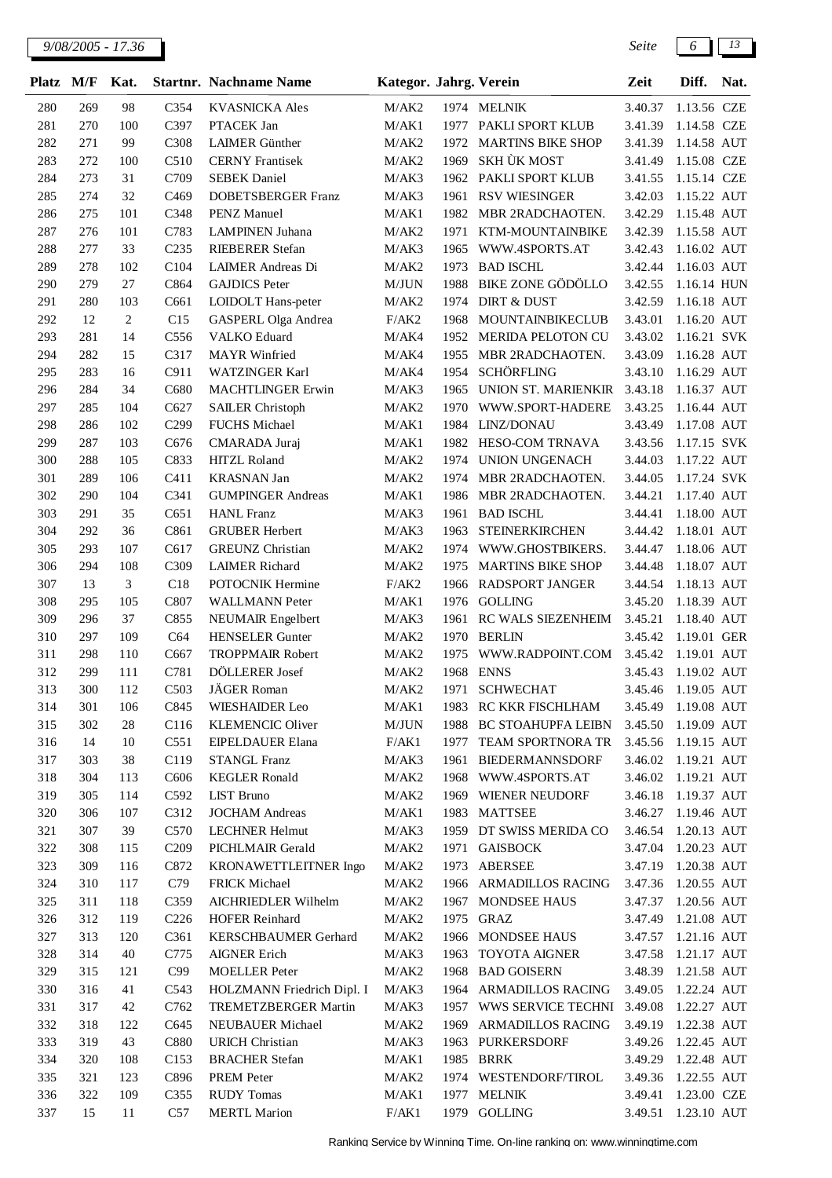| <b>Platz</b> | M/F        | Kat.           |                  | <b>Startnr.</b> Nachname Name              | Kategor. Jahrg. Verein |              |                                       | Zeit                | Diff.                      | Nat. |
|--------------|------------|----------------|------------------|--------------------------------------------|------------------------|--------------|---------------------------------------|---------------------|----------------------------|------|
| 280          | 269        | 98             | C354             | <b>KVASNICKA</b> Ales                      | M/AK2                  |              | 1974 MELNIK                           | 3.40.37             | 1.13.56 CZE                |      |
| 281          | 270        | 100            | C397             | PTACEK Jan                                 | M/AK1                  | 1977         | PAKLI SPORT KLUB                      | 3.41.39             | 1.14.58 CZE                |      |
| 282          | 271        | 99             | C308             | <b>LAIMER</b> Günther                      | M/AK2                  | 1972         | <b>MARTINS BIKE SHOP</b>              | 3.41.39             | 1.14.58 AUT                |      |
| 283          | 272        | 100            | C510             | <b>CERNY</b> Frantisek                     | M/AK2                  | 1969         | SKH ÙK MOST                           | 3.41.49             | 1.15.08 CZE                |      |
| 284          | 273        | 31             | C709             | <b>SEBEK Daniel</b>                        | M/AK3                  | 1962         | PAKLI SPORT KLUB                      | 3.41.55             | 1.15.14 CZE                |      |
| 285          | 274        | 32             | C <sub>469</sub> | <b>DOBETSBERGER Franz</b>                  | M/AK3                  | 1961         | <b>RSV WIESINGER</b>                  | 3.42.03             | 1.15.22 AUT                |      |
| 286          | 275        | 101            | C348             | <b>PENZ</b> Manuel                         | M/AK1                  | 1982         | MBR 2RADCHAOTEN.                      | 3.42.29             | 1.15.48 AUT                |      |
| 287          | 276        | 101            | C783             | <b>LAMPINEN</b> Juhana                     | M/AK2                  | 1971         | KTM-MOUNTAINBIKE                      | 3.42.39             | 1.15.58 AUT                |      |
| 288          | 277        | 33             | C <sub>235</sub> | <b>RIEBERER Stefan</b>                     | M/AK3                  | 1965         | WWW.4SPORTS.AT                        | 3.42.43             | 1.16.02 AUT                |      |
| 289          | 278        | 102            | C104             | <b>LAIMER Andreas Di</b>                   | M/AK2                  | 1973         | <b>BAD ISCHL</b>                      | 3.42.44             | 1.16.03 AUT                |      |
| 290          | 279        | 27             | C864             | <b>GAJDICS</b> Peter                       | M/JUN                  | 1988         | <b>BIKE ZONE GÖDÖLLO</b>              | 3.42.55             | 1.16.14 HUN                |      |
| 291          | 280        | 103            | C661             | LOIDOLT Hans-peter                         | M/AK2                  | 1974         | <b>DIRT &amp; DUST</b>                | 3.42.59             | 1.16.18 AUT                |      |
| 292          | 12         | $\overline{c}$ | C15<br>C556      | GASPERL Olga Andrea<br><b>VALKO</b> Eduard | F/AK2                  | 1968<br>1952 | <b>MOUNTAINBIKECLUB</b>               | 3.43.01<br>3.43.02  | 1.16.20 AUT                |      |
| 293<br>294   | 281<br>282 | 14<br>15       | C317             | <b>MAYR</b> Winfried                       | M/AK4<br>M/AK4         | 1955         | MERIDA PELOTON CU<br>MBR 2RADCHAOTEN. | 3.43.09             | 1.16.21 SVK<br>1.16.28 AUT |      |
| 295          | 283        | 16             | C911             | <b>WATZINGER Karl</b>                      | M/AK4                  | 1954         | <b>SCHÖRFLING</b>                     | 3.43.10             | 1.16.29 AUT                |      |
| 296          | 284        | 34             | C680             | <b>MACHTLINGER Erwin</b>                   | M/AK3                  | 1965         | <b>UNION ST. MARIENKIR</b>            | 3.43.18             | 1.16.37 AUT                |      |
| 297          | 285        | 104            | C627             | <b>SAILER Christoph</b>                    | M/AK2                  | 1970         | WWW.SPORT-HADERE                      | 3.43.25             | 1.16.44 AUT                |      |
| 298          | 286        | 102            | C <sub>299</sub> | <b>FUCHS</b> Michael                       | M/AK1                  | 1984         | LINZ/DONAU                            | 3.43.49             | 1.17.08 AUT                |      |
| 299          | 287        | 103            | C676             | CMARADA Juraj                              | M/AK1                  | 1982         | HESO-COM TRNAVA                       | 3.43.56             | 1.17.15 SVK                |      |
| 300          | 288        | 105            | C833             | <b>HITZL Roland</b>                        | M/AK2                  | 1974         | UNION UNGENACH                        | 3.44.03             | 1.17.22 AUT                |      |
| 301          | 289        | 106            | C411             | <b>KRASNAN Jan</b>                         | M/AK2                  | 1974         | MBR 2RADCHAOTEN.                      | 3.44.05             | 1.17.24 SVK                |      |
| 302          | 290        | 104            | C341             | <b>GUMPINGER Andreas</b>                   | M/AK1                  | 1986         | MBR 2RADCHAOTEN.                      | 3.44.21             | 1.17.40 AUT                |      |
| 303          | 291        | 35             | C651             | <b>HANL</b> Franz                          | M/AK3                  | 1961         | <b>BAD ISCHL</b>                      | 3.44.41             | 1.18.00 AUT                |      |
| 304          | 292        | 36             | C861             | <b>GRUBER Herbert</b>                      | M/AK3                  | 1963         | <b>STEINERKIRCHEN</b>                 | 3.44.42             | 1.18.01 AUT                |      |
| 305          | 293        | 107            | C617             | <b>GREUNZ</b> Christian                    | M/AK2                  | 1974         | WWW.GHOSTBIKERS.                      | 3.44.47             | 1.18.06 AUT                |      |
| 306          | 294        | 108            | C309             | <b>LAIMER Richard</b>                      | M/AK2                  | 1975         | <b>MARTINS BIKE SHOP</b>              | 3.44.48             | 1.18.07 AUT                |      |
| 307          | 13         | 3              | C18              | <b>POTOCNIK Hermine</b>                    | F/AK2                  | 1966         | RADSPORT JANGER                       | 3.44.54             | 1.18.13 AUT                |      |
| 308          | 295        | 105            | C807             | <b>WALLMANN Peter</b>                      | M/AK1                  | 1976         | <b>GOLLING</b>                        | 3.45.20             | 1.18.39 AUT                |      |
| 309          | 296        | 37             | C855             | <b>NEUMAIR</b> Engelbert                   | M/AK3                  | 1961         | RC WALS SIEZENHEIM                    | 3.45.21             | 1.18.40 AUT                |      |
| 310          | 297        | 109            | C64              | <b>HENSELER</b> Gunter                     | M/AK2                  | 1970         | <b>BERLIN</b>                         | 3.45.42             | 1.19.01 GER                |      |
| 311          | 298        | 110            | C667             | <b>TROPPMAIR Robert</b>                    | M/AK2                  | 1975         | WWW.RADPOINT.COM                      | 3.45.42             | 1.19.01 AUT                |      |
| 312<br>313   | 299<br>300 | 111            | C781<br>C503     | DÖLLERER Josef<br>JÄGER Roman              | M/AK2                  | 1968         | <b>ENNS</b><br>1971 SCHWECHAT         | 3.45.43<br>3.45.46  | 1.19.02 AUT                |      |
| 314          | 301        | 112            | C845             | WIESHAIDER Leo                             | M/AK2<br>M/AK1         |              | 1983 RC KKR FISCHLHAM                 | 3.45.49 1.19.08 AUT | 1.19.05 AUT                |      |
| 315          | 302        | 106<br>28      | C <sub>116</sub> | <b>KLEMENCIC Oliver</b>                    | M/JUN                  | 1988         | <b>BC STOAHUPFA LEIBN</b>             | 3.45.50             | 1.19.09 AUT                |      |
| 316          | 14         | 10             | C551             | EIPELDAUER Elana                           | F/AK1                  | 1977         | TEAM SPORTNORA TR                     | 3.45.56             | 1.19.15 AUT                |      |
| 317          | 303        | 38             | C119             | <b>STANGL Franz</b>                        | M/AK3                  | 1961         | <b>BIEDERMANNSDORF</b>                | 3.46.02             | 1.19.21 AUT                |      |
| 318          | 304        | 113            | C606             | <b>KEGLER Ronald</b>                       | M/AK2                  |              | 1968 WWW.4SPORTS.AT                   | 3.46.02             | 1.19.21 AUT                |      |
| 319          | 305        | 114            | C592             | <b>LIST Bruno</b>                          | M/AK2                  |              | 1969 WIENER NEUDORF                   | 3.46.18             | 1.19.37 AUT                |      |
| 320          | 306        | 107            | C312             | <b>JOCHAM Andreas</b>                      | M/AK1                  |              | 1983 MATTSEE                          | 3.46.27 1.19.46 AUT |                            |      |
| 321          | 307        | 39             | C570             | <b>LECHNER Helmut</b>                      | M/AK3                  | 1959         | DT SWISS MERIDA CO                    | 3.46.54             | 1.20.13 AUT                |      |
| 322          | 308        | 115            | C <sub>209</sub> | PICHLMAIR Gerald                           | M/AK2                  | 1971         | <b>GAISBOCK</b>                       | 3.47.04             | 1.20.23 AUT                |      |
| 323          | 309        | 116            | C872             | KRONAWETTLEITNER Ingo                      | M/AK2                  | 1973         | ABERSEE                               | 3.47.19             | 1.20.38 AUT                |      |
| 324          | 310        | 117            | C79              | <b>FRICK Michael</b>                       | M/AK2                  | 1966         | ARMADILLOS RACING                     | 3.47.36             | 1.20.55 AUT                |      |
| 325          | 311        | 118            | C359             | AICHRIEDLER Wilhelm                        | M/AK2                  | 1967         | MONDSEE HAUS                          | 3.47.37             | 1.20.56 AUT                |      |
| 326          | 312        | 119            | C <sub>226</sub> | <b>HOFER Reinhard</b>                      | M/AK2                  | 1975         | GRAZ                                  | 3.47.49 1.21.08 AUT |                            |      |
| 327          | 313        | 120            | C361             | KERSCHBAUMER Gerhard                       | M/AK2                  |              | 1966 MONDSEE HAUS                     | 3.47.57 1.21.16 AUT |                            |      |
| 328          | 314        | 40             | C775             | <b>AIGNER Erich</b>                        | M/AK3                  | 1963         | <b>TOYOTA AIGNER</b>                  | 3.47.58 1.21.17 AUT |                            |      |
| 329          | 315        | 121            | C99              | <b>MOELLER</b> Peter                       | $\rm M/AK2$            |              | 1968 BAD GOISERN                      | 3.48.39 1.21.58 AUT |                            |      |
| 330          | 316        | 41             | C543             | HOLZMANN Friedrich Dipl. I                 | M/AK3                  | 1964         | ARMADILLOS RACING                     | 3.49.05             | 1.22.24 AUT                |      |
| 331          | 317        | 42             | C762             | TREMETZBERGER Martin                       | M/AK3                  | 1957         | WWS SERVICE TECHNI 3.49.08            |                     | 1.22.27 AUT                |      |
| 332          | 318        | 122            | C645             | NEUBAUER Michael                           | M/AK2                  | 1969         | <b>ARMADILLOS RACING</b>              | 3.49.19             | 1.22.38 AUT                |      |
| 333          | 319        | 43             | C880             | <b>URICH Christian</b>                     | M/AK3                  | 1963         | PURKERSDORF                           | 3.49.26             | 1.22.45 AUT                |      |
| 334          | 320        | 108            | C <sub>153</sub> | <b>BRACHER Stefan</b>                      | M/AK1                  |              | 1985 BRRK                             | 3.49.29             | 1.22.48 AUT                |      |
| 335          | 321        | 123            | C896             | PREM Peter                                 | M/AK2                  |              | 1974 WESTENDORF/TIROL                 | 3.49.36             | 1.22.55 AUT                |      |
| 336          | 322<br>15  | 109            | C355             | <b>RUDY</b> Tomas                          | M/AK1                  | 1977         | <b>MELNIK</b>                         | 3.49.41             | 1.23.00 CZE                |      |
| 337          |            | 11             | C57              | <b>MERTL Marion</b>                        | F/AK1                  |              | 1979 GOLLING                          | 3.49.51 1.23.10 AUT |                            |      |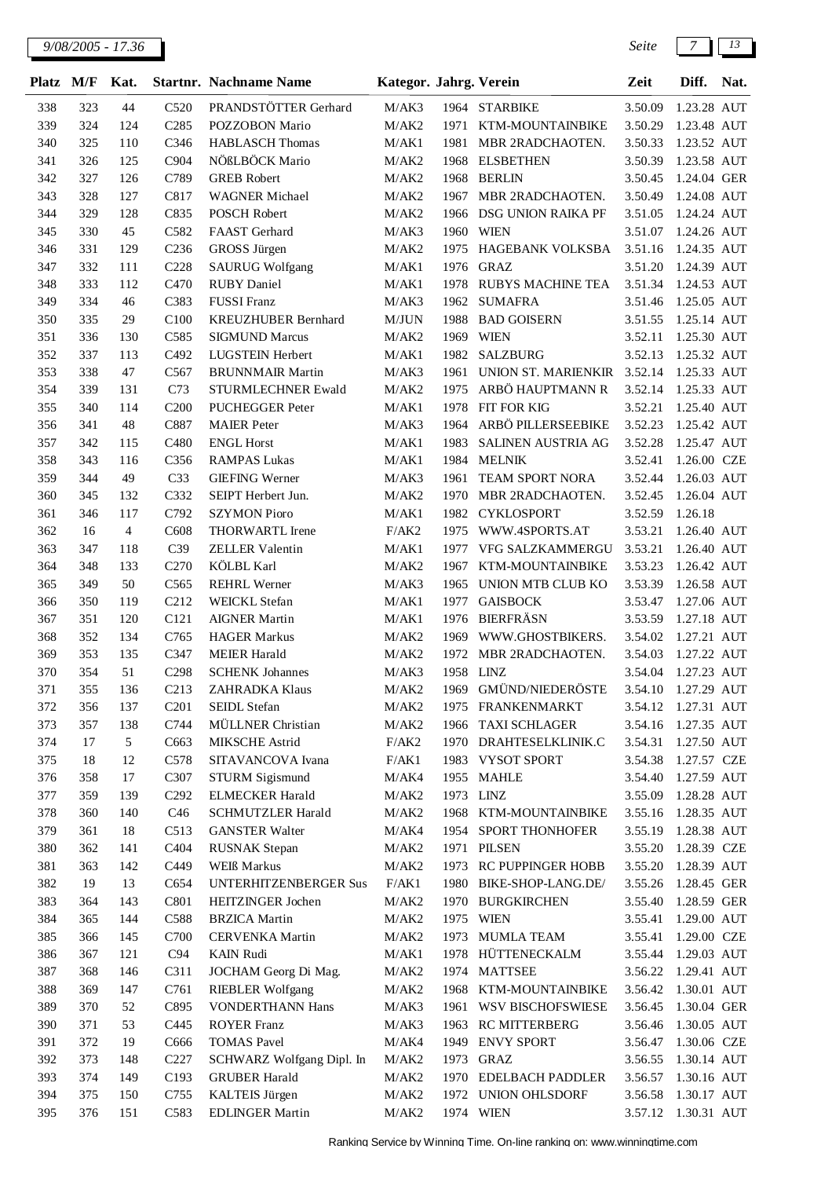| Platz      | M/F       | Kat.              |                   | <b>Startnr.</b> Nachname Name               | Kategor. Jahrg. Verein |           |                                | Zeit                | Diff.                      | Nat. |
|------------|-----------|-------------------|-------------------|---------------------------------------------|------------------------|-----------|--------------------------------|---------------------|----------------------------|------|
| 338        | 323       | 44                | C <sub>520</sub>  | PRANDSTÖTTER Gerhard                        | M/AK3                  |           | 1964 STARBIKE                  | 3.50.09             | 1.23.28 AUT                |      |
| 339        | 324       | 124               | C <sub>285</sub>  | POZZOBON Mario                              | M/AK2                  | 1971      | KTM-MOUNTAINBIKE               | 3.50.29             | 1.23.48 AUT                |      |
| 340        | 325       | 110               | C346              | <b>HABLASCH Thomas</b>                      | M/AK1                  | 1981      | MBR 2RADCHAOTEN.               | 3.50.33             | 1.23.52 AUT                |      |
| 341        | 326       | 125               | C904              | NÖßLBÖCK Mario                              | M/AK2                  | 1968      | <b>ELSBETHEN</b>               | 3.50.39             | 1.23.58 AUT                |      |
| 342        | 327       | 126               | C789              | <b>GREB</b> Robert                          | M/AK2                  | 1968      | <b>BERLIN</b>                  | 3.50.45             | 1.24.04 GER                |      |
| 343        | 328       | 127               | C817              | <b>WAGNER Michael</b>                       | M/AK2                  | 1967      | MBR 2RADCHAOTEN.               | 3.50.49             | 1.24.08 AUT                |      |
| 344        | 329       | 128               | C835              | <b>POSCH Robert</b>                         | M/AK2                  | 1966      | DSG UNION RAIKA PF             | 3.51.05             | 1.24.24 AUT                |      |
| 345        | 330       | 45                | C582              | FAAST Gerhard                               | M/AK3                  | 1960      | <b>WIEN</b>                    | 3.51.07             | 1.24.26 AUT                |      |
| 346        | 331       | 129               | C <sub>236</sub>  | <b>GROSS Jürgen</b>                         | M/AK2                  | 1975      | <b>HAGEBANK VOLKSBA</b>        | 3.51.16             | 1.24.35 AUT                |      |
| 347        | 332       | 111               | C228              | <b>SAURUG Wolfgang</b>                      | M/AK1                  | 1976      | <b>GRAZ</b>                    | 3.51.20             | 1.24.39 AUT                |      |
| 348        | 333       | 112               | C470              | <b>RUBY Daniel</b>                          | M/AK1                  | 1978      | RUBYS MACHINE TEA              | 3.51.34             | 1.24.53 AUT                |      |
| 349        | 334       | 46                | C383              | <b>FUSSI</b> Franz                          | M/AK3                  | 1962      | <b>SUMAFRA</b>                 | 3.51.46             | 1.25.05 AUT                |      |
| 350        | 335       | 29                | C100              | KREUZHUBER Bernhard                         | M/JUN                  | 1988      | <b>BAD GOISERN</b>             | 3.51.55             | 1.25.14 AUT                |      |
| 351        | 336       | 130               | C585              | <b>SIGMUND Marcus</b>                       | M/AK2                  | 1969      | <b>WIEN</b>                    | 3.52.11             | 1.25.30 AUT                |      |
| 352        | 337       | 113               | C492              | <b>LUGSTEIN Herbert</b>                     | M/AK1                  | 1982      | <b>SALZBURG</b>                | 3.52.13             | 1.25.32 AUT                |      |
| 353        | 338       | 47                | C567              | <b>BRUNNMAIR Martin</b>                     | M/AK3                  | 1961      | UNION ST. MARIENKIR            | 3.52.14             | 1.25.33 AUT                |      |
| 354        | 339       | 131               | C73               | STURMLECHNER Ewald                          | M/AK2                  | 1975      | ARBÖ HAUPTMANN R               | 3.52.14             | 1.25.33 AUT                |      |
| 355        | 340       | 114               | C <sub>200</sub>  | PUCHEGGER Peter                             | M/AK1                  | 1978      | <b>FIT FOR KIG</b>             | 3.52.21             | 1.25.40 AUT                |      |
| 356        | 341       | 48                | C887              | <b>MAIER</b> Peter                          | M/AK3                  | 1964      | ARBÖ PILLERSEEBIKE             | 3.52.23             | 1.25.42 AUT                |      |
| 357        | 342       | 115               | C <sub>480</sub>  | <b>ENGL Horst</b>                           | M/AK1                  | 1983      | SALINEN AUSTRIA AG             | 3.52.28             | 1.25.47 AUT                |      |
| 358        | 343       | 116               | C356              | <b>RAMPAS Lukas</b>                         | M/AK1                  | 1984      | <b>MELNIK</b>                  | 3.52.41             | 1.26.00 CZE                |      |
| 359        | 344       | 49                | C33               | <b>GIEFING Werner</b>                       | M/AK3                  | 1961      | TEAM SPORT NORA                | 3.52.44             | 1.26.03 AUT                |      |
| 360        | 345       | 132               | C332              | SEIPT Herbert Jun.                          | M/AK2                  | 1970      | MBR 2RADCHAOTEN.               | 3.52.45             | 1.26.04 AUT                |      |
| 361        | 346       | 117               | C792              | <b>SZYMON Pioro</b>                         | M/AK1                  | 1982      | <b>CYKLOSPORT</b>              | 3.52.59             | 1.26.18                    |      |
| 362        | 16        | $\overline{4}$    | C608              | <b>THORWARTL</b> Irene                      | F/AK2                  | 1975      | WWW.4SPORTS.AT                 | 3.53.21             | 1.26.40 AUT                |      |
| 363        | 347       | 118               | C39               | <b>ZELLER Valentin</b>                      | M/AK1                  | 1977      | VFG SALZKAMMERGU               | 3.53.21             | 1.26.40 AUT                |      |
| 364        | 348       | 133               | C <sub>270</sub>  | <b>KÖLBL</b> Karl                           | M/AK2                  | 1967      | KTM-MOUNTAINBIKE               | 3.53.23             | 1.26.42 AUT                |      |
| 365        | 349       | 50                | C565              | <b>REHRL Werner</b>                         | M/AK3                  | 1965      | UNION MTB CLUB KO              | 3.53.39             | 1.26.58 AUT                |      |
| 366        | 350       | 119               | C <sub>2</sub> 12 | WEICKL Stefan                               | M/AK1                  | 1977      | <b>GAISBOCK</b>                | 3.53.47             | 1.27.06 AUT                |      |
| 367        | 351       | 120               | C121              | <b>AIGNER Martin</b>                        | M/AK1                  | 1976      | <b>BIERFRÄSN</b>               | 3.53.59             | 1.27.18 AUT                |      |
| 368        | 352       | 134               | C765              | <b>HAGER Markus</b>                         | M/AK2                  | 1969      | WWW.GHOSTBIKERS.               | 3.54.02             | 1.27.21 AUT                |      |
| 369        | 353       | 135               | C347              | <b>MEIER Harald</b>                         | M/AK2                  | 1972      | MBR 2RADCHAOTEN.               | 3.54.03             | 1.27.22 AUT                |      |
| 370        | 354       | 51                | C <sub>298</sub>  | <b>SCHENK Johannes</b>                      | M/AK3                  | 1958      | LINZ                           | 3.54.04             | 1.27.23 AUT                |      |
| 371        | 355       | 136               | C <sub>213</sub>  | <b>ZAHRADKA Klaus</b>                       | M/AK2                  | 1969      | GMÜND/NIEDERÖSTE               | 3.54.10             | 1.27.29 AUT                |      |
| 372        | 356       | 137               | C201              | SEIDL Stefan                                | M/AK2                  |           | 1975 FRANKENMARKT              | 3.54.12             | 1.27.31 AUT                |      |
| 373        | 357<br>17 | 138<br>$\sqrt{5}$ | C744              | MÜLLNER Christian                           | M/AK2                  | 1966      | <b>TAXI SCHLAGER</b>           | 3.54.16             | 1.27.35 AUT<br>1.27.50 AUT |      |
| 374        |           |                   | C663<br>C578      | <b>MIKSCHE Astrid</b>                       | F/AK2                  |           | 1970 DRAHTESELKLINIK.C         | 3.54.31             |                            |      |
| 375<br>376 | 18<br>358 | 12<br>17          | C307              | SITAVANCOVA Ivana<br><b>STURM Sigismund</b> | F/AK1<br>M/AK4         |           | 1983 VYSOT SPORT<br>1955 MAHLE | 3.54.38<br>3.54.40  | 1.27.57 CZE<br>1.27.59 AUT |      |
| 377        | 359       | 139               | C <sub>292</sub>  | <b>ELMECKER Harald</b>                      | M/AK2                  | 1973 LINZ |                                | 3.55.09             | 1.28.28 AUT                |      |
| 378        | 360       | 140               | C46               | <b>SCHMUTZLER Harald</b>                    | M/AK2                  | 1968      | KTM-MOUNTAINBIKE               | 3.55.16             | 1.28.35 AUT                |      |
| 379        | 361       | 18                | C513              | <b>GANSTER Walter</b>                       | M/AK4                  | 1954      | SPORT THONHOFER                | 3.55.19             | 1.28.38 AUT                |      |
| 380        | 362       | 141               | C404              | <b>RUSNAK</b> Stepan                        | M/AK2                  |           | 1971 PILSEN                    | 3.55.20             | 1.28.39 CZE                |      |
| 381        | 363       | 142               | C449              | <b>WEIß</b> Markus                          | M/AK2                  |           | 1973 RC PUPPINGER HOBB         | 3.55.20             | 1.28.39 AUT                |      |
| 382        | 19        | 13                | C654              | UNTERHITZENBERGER Sus                       | F/AK1                  | 1980      | BIKE-SHOP-LANG.DE/             | 3.55.26             | 1.28.45 GER                |      |
| 383        | 364       | 143               | C801              | HEITZINGER Jochen                           | M/AK2                  |           | 1970 BURGKIRCHEN               | 3.55.40             | 1.28.59 GER                |      |
| 384        | 365       | 144               | C588              | <b>BRZICA</b> Martin                        | M/AK2                  |           | 1975 WIEN                      | 3.55.41             | 1.29.00 AUT                |      |
| 385        | 366       | 145               | C700              | CERVENKA Martin                             | M/AK2                  |           | 1973 MUMLA TEAM                | 3.55.41             | 1.29.00 CZE                |      |
| 386        | 367       | 121               | C94               | <b>KAIN Rudi</b>                            | M/AK1                  |           | 1978 HÜTTENECKALM              | 3.55.44             | 1.29.03 AUT                |      |
| 387        | 368       | 146               | C311              | JOCHAM Georg Di Mag.                        | M/AK2                  |           | 1974 MATTSEE                   | 3.56.22             | 1.29.41 AUT                |      |
| 388        | 369       | 147               | C761              | <b>RIEBLER Wolfgang</b>                     | M/AK2                  | 1968      | KTM-MOUNTAINBIKE               | 3.56.42             | 1.30.01 AUT                |      |
| 389        | 370       | 52                | C895              | <b>VONDERTHANN Hans</b>                     | M/AK3                  | 1961      | WSV BISCHOFSWIESE              | 3.56.45             | 1.30.04 GER                |      |
| 390        | 371       | 53                | C445              | <b>ROYER</b> Franz                          | M/AK3                  | 1963      | <b>RC MITTERBERG</b>           | 3.56.46             | 1.30.05 AUT                |      |
| 391        | 372       | 19                | C666              | <b>TOMAS Pavel</b>                          | M/AK4                  | 1949      | <b>ENVY SPORT</b>              | 3.56.47             | 1.30.06 CZE                |      |
| 392        | 373       | 148               | C <sub>227</sub>  | SCHWARZ Wolfgang Dipl. In                   | M/AK2                  | 1973      | <b>GRAZ</b>                    | 3.56.55             | 1.30.14 AUT                |      |
| 393        | 374       | 149               | C193              | <b>GRUBER Harald</b>                        | M/AK2                  | 1970      | <b>EDELBACH PADDLER</b>        | 3.56.57             | 1.30.16 AUT                |      |
| 394        | 375       | 150               | C755              | <b>KALTEIS Jürgen</b>                       | M/AK2                  | 1972      | UNION OHLSDORF                 | 3.56.58             | 1.30.17 AUT                |      |
| 395        | 376       | 151               | C583              | <b>EDLINGER Martin</b>                      | M/AK2                  |           | 1974 WIEN                      | 3.57.12 1.30.31 AUT |                            |      |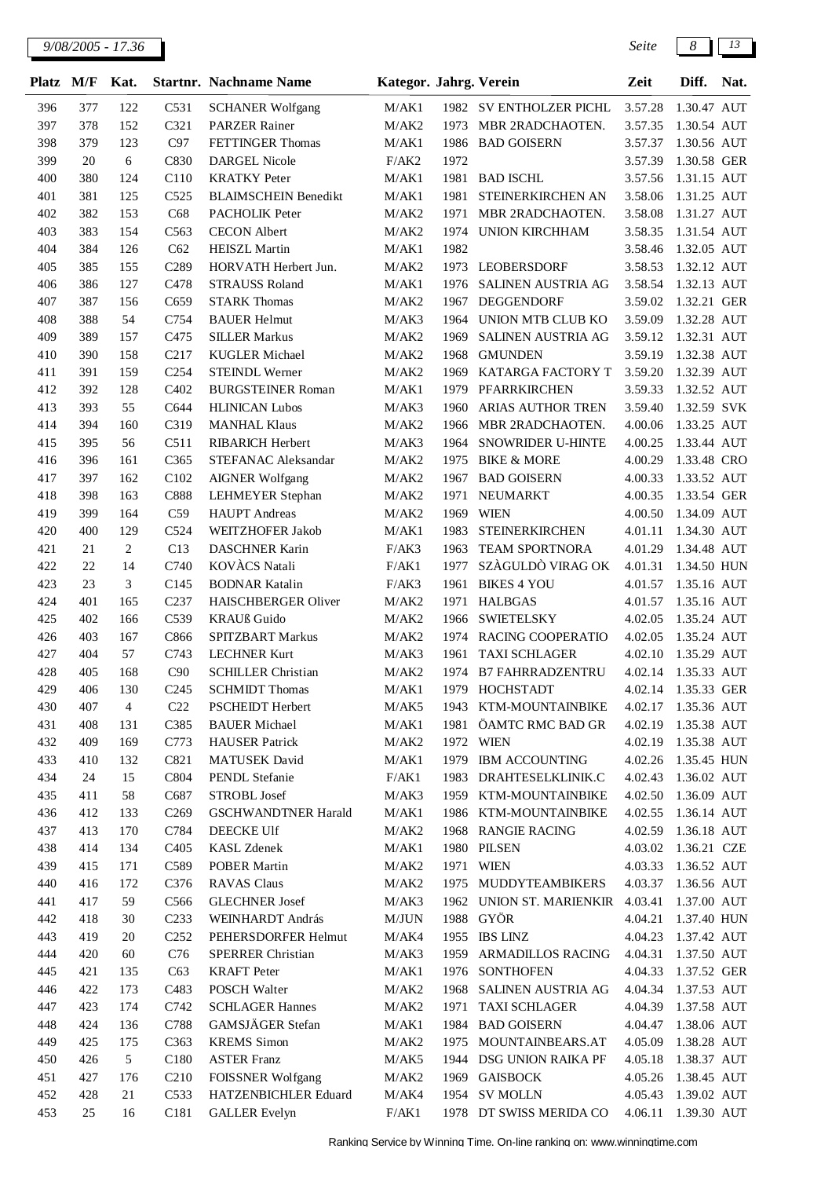*9/08/2005 - 17.36 Seite 8 13*

| <b>Platz</b> | M/F        | Kat.     |                         | <b>Startnr. Nachname Name</b>             | Kategor. Jahrg. Verein |      |                                           | Zeit               | Diff.                      | Nat. |
|--------------|------------|----------|-------------------------|-------------------------------------------|------------------------|------|-------------------------------------------|--------------------|----------------------------|------|
| 396          | 377        | 122      | C531                    | <b>SCHANER Wolfgang</b>                   | M/AK1                  |      | 1982 SV ENTHOLZER PICHL                   | 3.57.28            | 1.30.47 AUT                |      |
| 397          | 378        | 152      | C321                    | <b>PARZER Rainer</b>                      | M/AK2                  | 1973 | MBR 2RADCHAOTEN.                          | 3.57.35            | 1.30.54 AUT                |      |
| 398          | 379        | 123      | C97                     | <b>FETTINGER Thomas</b>                   | M/AK1                  | 1986 | <b>BAD GOISERN</b>                        | 3.57.37            | 1.30.56 AUT                |      |
| 399          | 20         | 6        | C830                    | <b>DARGEL Nicole</b>                      | F/AK2                  | 1972 |                                           | 3.57.39            | 1.30.58 GER                |      |
| 400          | 380        | 124      | C110                    | <b>KRATKY</b> Peter                       | M/AK1                  | 1981 | <b>BAD ISCHL</b>                          | 3.57.56            | 1.31.15 AUT                |      |
| 401          | 381        | 125      | C525                    | <b>BLAIMSCHEIN Benedikt</b>               | M/AK1                  | 1981 | STEINERKIRCHEN AN                         | 3.58.06            | 1.31.25 AUT                |      |
| 402          | 382        | 153      | C68                     | PACHOLIK Peter                            | M/AK2                  | 1971 | MBR 2RADCHAOTEN.                          | 3.58.08            | 1.31.27 AUT                |      |
| 403          | 383        | 154      | C563                    | <b>CECON</b> Albert                       | M/AK2                  | 1974 | <b>UNION KIRCHHAM</b>                     | 3.58.35            | 1.31.54 AUT                |      |
| 404          | 384        | 126      | C62                     | <b>HEISZL Martin</b>                      | M/AK1                  | 1982 |                                           | 3.58.46            | 1.32.05 AUT                |      |
| 405          | 385        | 155      | C289                    | HORVATH Herbert Jun.                      | M/AK2                  |      | 1973 LEOBERSDORF                          | 3.58.53            | 1.32.12 AUT                |      |
| 406          | 386        | 127      | C478                    | <b>STRAUSS Roland</b>                     | M/AK1                  | 1976 | SALINEN AUSTRIA AG                        | 3.58.54            | 1.32.13 AUT                |      |
| 407          | 387        | 156      | C659                    | <b>STARK Thomas</b>                       | M/AK2                  | 1967 | <b>DEGGENDORF</b>                         | 3.59.02            | 1.32.21 GER                |      |
| 408          | 388        | 54       | C754                    | <b>BAUER Helmut</b>                       | M/AK3                  | 1964 | UNION MTB CLUB KO                         | 3.59.09            | 1.32.28 AUT                |      |
| 409          | 389        | 157      | C475                    | <b>SILLER Markus</b>                      | M/AK2                  | 1969 | SALINEN AUSTRIA AG                        | 3.59.12            | 1.32.31 AUT                |      |
| 410          | 390        | 158      | C <sub>217</sub>        | <b>KUGLER Michael</b>                     | M/AK2                  | 1968 | <b>GMUNDEN</b>                            | 3.59.19            | 1.32.38 AUT                |      |
| 411          | 391        | 159      | C <sub>254</sub>        | <b>STEINDL Werner</b>                     | M/AK2                  | 1969 | KATARGA FACTORY T                         | 3.59.20            | 1.32.39 AUT                |      |
| 412          | 392        | 128      | C402                    | <b>BURGSTEINER Roman</b>                  | M/AK1                  | 1979 | PFARRKIRCHEN                              | 3.59.33            | 1.32.52 AUT                |      |
| 413          | 393        | 55       | C644                    | <b>HLINICAN Lubos</b>                     | M/AK3                  | 1960 | <b>ARIAS AUTHOR TREN</b>                  | 3.59.40            | 1.32.59 SVK                |      |
| 414          | 394        | 160      | C319                    | <b>MANHAL Klaus</b>                       | M/AK2                  | 1966 | MBR 2RADCHAOTEN.                          | 4.00.06            | 1.33.25 AUT                |      |
| 415          | 395        | 56       | C511                    | <b>RIBARICH Herbert</b>                   | M/AK3                  | 1964 | SNOWRIDER U-HINTE                         | 4.00.25            | 1.33.44 AUT                |      |
| 416          | 396        | 161      | C365                    | STEFANAC Aleksandar                       | M/AK2                  | 1975 | <b>BIKE &amp; MORE</b>                    | 4.00.29            | 1.33.48 CRO                |      |
| 417          | 397        | 162      | C102                    | <b>AIGNER Wolfgang</b>                    | M/AK2                  | 1967 | <b>BAD GOISERN</b>                        | 4.00.33            | 1.33.52 AUT                |      |
| 418          | 398        | 163      | C888                    | <b>LEHMEYER Stephan</b>                   | M/AK2                  | 1971 | <b>NEUMARKT</b>                           | 4.00.35            | 1.33.54 GER                |      |
| 419          | 399        | 164      | C59                     | <b>HAUPT</b> Andreas                      | M/AK2                  | 1969 | <b>WIEN</b>                               | 4.00.50            | 1.34.09 AUT                |      |
| 420          | 400        | 129      | C524                    | WEITZHOFER Jakob                          | M/AK1                  | 1983 | <b>STEINERKIRCHEN</b>                     | 4.01.11            | 1.34.30 AUT                |      |
| 421          | 21         | 2        | C13                     | <b>DASCHNER Karin</b>                     | F/AK3                  | 1963 | <b>TEAM SPORTNORA</b>                     | 4.01.29            | 1.34.48 AUT                |      |
| 422          | 22         | 14       | C740                    | KOVÀCS Natali                             | F/AK1                  | 1977 | SZÀGULDÒ VIRAG OK                         | 4.01.31            | 1.34.50 HUN                |      |
| 423          | 23         | 3        | C145                    | <b>BODNAR Katalin</b>                     | F/AK3                  | 1961 | <b>BIKES 4 YOU</b>                        | 4.01.57            | 1.35.16 AUT                |      |
| 424          | 401        | 165      | C <sub>237</sub>        | <b>HAISCHBERGER Oliver</b>                | M/AK2                  | 1971 | <b>HALBGAS</b>                            | 4.01.57            | 1.35.16 AUT                |      |
| 425          | 402        | 166      | C539                    | <b>KRAUß</b> Guido                        | M/AK2                  | 1966 | <b>SWIETELSKY</b>                         | 4.02.05            | 1.35.24 AUT                |      |
| 426          | 403        | 167      | C866                    | <b>SPITZBART Markus</b>                   | M/AK2                  |      | 1974 RACING COOPERATIO                    | 4.02.05            | 1.35.24 AUT                |      |
| 427          | 404        | 57       | C743                    | <b>LECHNER Kurt</b>                       | M/AK3                  | 1961 | <b>TAXI SCHLAGER</b>                      | 4.02.10<br>4.02.14 | 1.35.29 AUT                |      |
| 428<br>429   | 405<br>406 | 168      | C90<br>C <sub>245</sub> | <b>SCHILLER Christian</b>                 | M/AK2                  | 1974 | <b>B7 FAHRRADZENTRU</b><br>1979 HOCHSTADT | 4.02.14            | 1.35.33 AUT<br>1.35.33 GER |      |
| 430          | 407        | 130<br>4 | C22                     | <b>SCHMIDT</b> Thomas<br>PSCHEIDT Herbert | M/AK1<br>M/AK5         |      | 1943 KTM-MOUNTAINBIKE                     | 4.02.17            | 1.35.36 AUT                |      |
| 431          | 408        | 131      | C385                    | <b>BAUER</b> Michael                      | M/AK1                  | 1981 | ÖAMTC RMC BAD GR                          | 4.02.19            | 1.35.38 AUT                |      |
| 432          | 409        | 169      | C773                    | <b>HAUSER</b> Patrick                     | M/AK2                  | 1972 | <b>WIEN</b>                               | 4.02.19            | 1.35.38 AUT                |      |
| 433          | 410        | 132      | C821                    | <b>MATUSEK</b> David                      | M/AK1                  | 1979 | <b>IBM ACCOUNTING</b>                     | 4.02.26            | 1.35.45 HUN                |      |
| 434          | 24         | 15       | C804                    | PENDL Stefanie                            | F/AK1                  | 1983 | DRAHTESELKLINIK.C                         | 4.02.43            | 1.36.02 AUT                |      |
| 435          | 411        | 58       | C687                    | <b>STROBL Josef</b>                       | M/AK3                  | 1959 | KTM-MOUNTAINBIKE                          | 4.02.50            | 1.36.09 AUT                |      |
| 436          | 412        | 133      | C <sub>269</sub>        | <b>GSCHWANDTNER Harald</b>                | M/AK1                  | 1986 | KTM-MOUNTAINBIKE                          | 4.02.55            | 1.36.14 AUT                |      |
| 437          | 413        | 170      | C784                    | <b>DEECKE Ulf</b>                         | M/AK2                  | 1968 | <b>RANGIE RACING</b>                      | 4.02.59            | 1.36.18 AUT                |      |
| 438          | 414        | 134      | C <sub>4</sub> 05       | KASL Zdenek                               | M/AK1                  | 1980 | <b>PILSEN</b>                             | 4.03.02            | 1.36.21 CZE                |      |
| 439          | 415        | 171      | C589                    | <b>POBER Martin</b>                       | M/AK2                  |      | 1971 WIEN                                 | 4.03.33            | 1.36.52 AUT                |      |
| 440          | 416        | 172      | C376                    | <b>RAVAS Claus</b>                        | M/AK2                  | 1975 | MUDDYTEAMBIKERS                           | 4.03.37            | 1.36.56 AUT                |      |
| 441          | 417        | 59       | C <sub>566</sub>        | <b>GLECHNER Josef</b>                     | M/AK3                  | 1962 | UNION ST. MARIENKIR                       | 4.03.41            | 1.37.00 AUT                |      |
| 442          | 418        | 30       | C <sub>233</sub>        | WEINHARDT András                          | M/JUN                  | 1988 | GYÖR                                      | 4.04.21            | 1.37.40 HUN                |      |
| 443          | 419        | 20       | C <sub>252</sub>        | PEHERSDORFER Helmut                       | M/AK4                  |      | 1955 IBS LINZ                             | 4.04.23            | 1.37.42 AUT                |      |
| 444          | 420        | 60       | C76                     | <b>SPERRER Christian</b>                  | M/AK3                  | 1959 | ARMADILLOS RACING                         | 4.04.31            | 1.37.50 AUT                |      |
| 445          | 421        | 135      | C63                     | <b>KRAFT</b> Peter                        | M/AK1                  |      | 1976 SONTHOFEN                            | 4.04.33            | 1.37.52 GER                |      |
| 446          | 422        | 173      | C483                    | POSCH Walter                              | M/AK2                  | 1968 | SALINEN AUSTRIA AG                        | 4.04.34            | 1.37.53 AUT                |      |
| 447          | 423        | 174      | C742                    | <b>SCHLAGER Hannes</b>                    | M/AK2                  | 1971 | <b>TAXI SCHLAGER</b>                      | 4.04.39            | 1.37.58 AUT                |      |
| 448          | 424        | 136      | C788                    | GAMSJÄGER Stefan                          | M/AK1                  | 1984 | <b>BAD GOISERN</b>                        | 4.04.47            | 1.38.06 AUT                |      |
| 449          | 425        | 175      | C <sub>363</sub>        | <b>KREMS</b> Simon                        | $\rm M/AK2$            | 1975 | MOUNTAINBEARS.AT                          | 4.05.09            | 1.38.28 AUT                |      |
| 450          | 426        | 5        | C180                    | <b>ASTER Franz</b>                        | M/AK5                  | 1944 | DSG UNION RAIKA PF                        | 4.05.18            | 1.38.37 AUT                |      |
| 451          | 427        | 176      | C <sub>210</sub>        | <b>FOISSNER Wolfgang</b>                  | M/AK2                  | 1969 | <b>GAISBOCK</b>                           | 4.05.26            | 1.38.45 AUT                |      |
| 452          | 428        | 21       | C533                    | HATZENBICHLER Eduard                      | M/AK4                  | 1954 | <b>SV MOLLN</b>                           | 4.05.43            | 1.39.02 AUT                |      |
| 453          | 25         | 16       | C <sub>181</sub>        | <b>GALLER</b> Evelyn                      | F/AK1                  |      | 1978 DT SWISS MERIDA CO                   | 4.06.11            | 1.39.30 AUT                |      |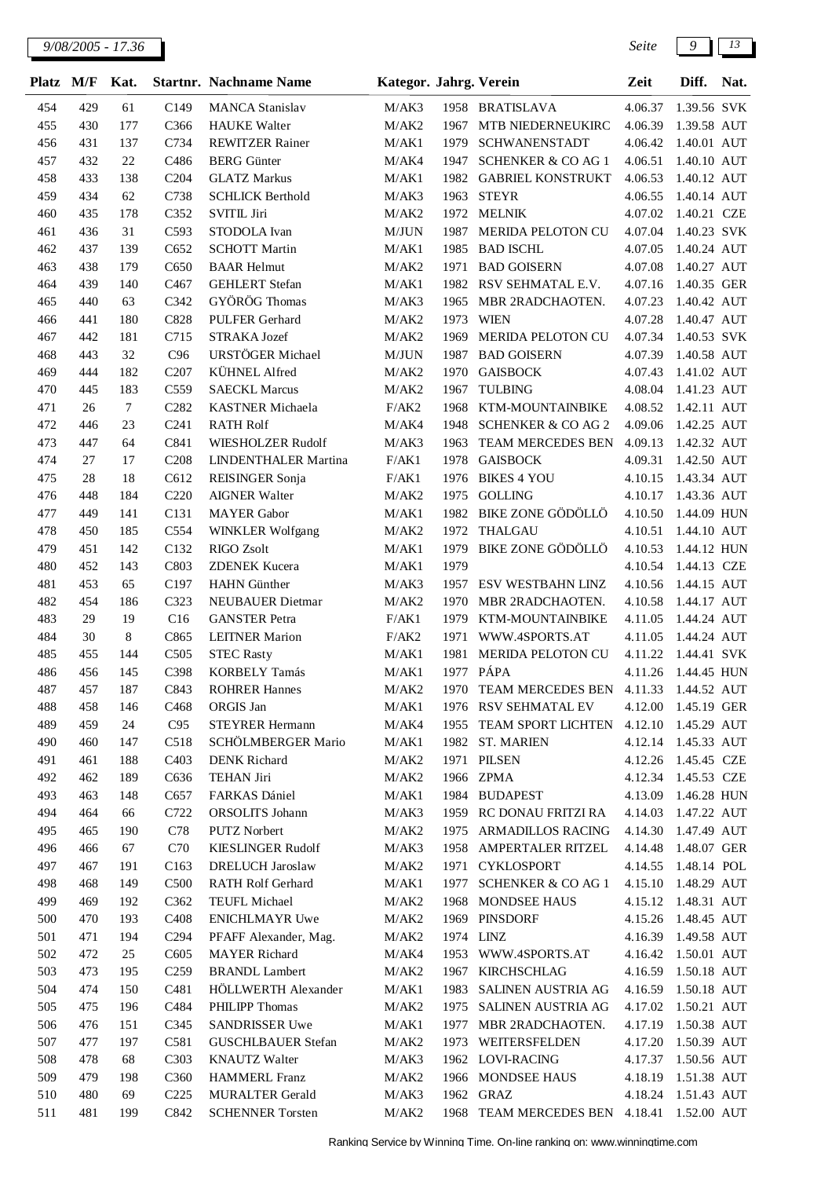*9/08/2005 - 17.36 Seite 9 13*

| <b>Platz</b> | M/F        | Kat.      |                   | <b>Startnr. Nachname Name</b>                | Kategor. Jahrg. Verein |              |                                                | Zeit               | Diff.                      | Nat. |
|--------------|------------|-----------|-------------------|----------------------------------------------|------------------------|--------------|------------------------------------------------|--------------------|----------------------------|------|
| 454          | 429        | 61        | C149              | <b>MANCA Stanislav</b>                       | M/AK3                  |              | 1958 BRATISLAVA                                | 4.06.37            | 1.39.56 SVK                |      |
| 455          | 430        | 177       | C366              | <b>HAUKE</b> Walter                          | M/AK2                  | 1967         | MTB NIEDERNEUKIRC                              | 4.06.39            | 1.39.58 AUT                |      |
| 456          | 431        | 137       | C734              | <b>REWITZER Rainer</b>                       | M/AK1                  | 1979         | <b>SCHWANENSTADT</b>                           | 4.06.42            | 1.40.01 AUT                |      |
| 457          | 432        | 22        | C486              | <b>BERG</b> Günter                           | M/AK4                  | 1947         | <b>SCHENKER &amp; CO AG 1</b>                  | 4.06.51            | 1.40.10 AUT                |      |
| 458          | 433        | 138       | C <sub>204</sub>  | <b>GLATZ Markus</b>                          | M/AK1                  | 1982         | <b>GABRIEL KONSTRUKT</b>                       | 4.06.53            | 1.40.12 AUT                |      |
| 459          | 434        | 62        | C738              | <b>SCHLICK Berthold</b>                      | M/AK3                  | 1963         | <b>STEYR</b>                                   | 4.06.55            | 1.40.14 AUT                |      |
| 460          | 435        | 178       | C352              | <b>SVITIL Jiri</b>                           | M/AK2                  | 1972         | <b>MELNIK</b>                                  | 4.07.02            | 1.40.21 CZE                |      |
| 461          | 436        | 31        | C593              | STODOLA Ivan                                 | M/JUN                  | 1987         | MERIDA PELOTON CU                              | 4.07.04            | 1.40.23 SVK                |      |
| 462          | 437        | 139       | C652              | <b>SCHOTT Martin</b>                         | M/AK1                  | 1985         | <b>BAD ISCHL</b>                               | 4.07.05            | 1.40.24 AUT                |      |
| 463          | 438        | 179       | C650              | <b>BAAR Helmut</b>                           | M/AK2                  | 1971         | <b>BAD GOISERN</b>                             | 4.07.08            | 1.40.27 AUT                |      |
| 464          | 439        | 140       | C <sub>467</sub>  | <b>GEHLERT</b> Stefan                        | M/AK1                  | 1982         | RSV SEHMATAL E.V.                              | 4.07.16            | 1.40.35 GER                |      |
| 465          | 440        | 63        | C342              | GYÖRÖG Thomas                                | M/AK3                  | 1965         | MBR 2RADCHAOTEN.                               | 4.07.23            | 1.40.42 AUT                |      |
| 466          | 441        | 180       | C828              | <b>PULFER Gerhard</b>                        | M/AK2                  | 1973         | <b>WIEN</b>                                    | 4.07.28            | 1.40.47 AUT                |      |
| 467<br>468   | 442<br>443 | 181<br>32 | C715<br>C96       | STRAKA Jozef<br>URSTÖGER Michael             | M/AK2<br>M/JUN         | 1969<br>1987 | <b>MERIDA PELOTON CU</b><br><b>BAD GOISERN</b> | 4.07.34<br>4.07.39 | 1.40.53 SVK<br>1.40.58 AUT |      |
| 469          | 444        | 182       | C <sub>207</sub>  | KÜHNEL Alfred                                | M/AK2                  | 1970         | <b>GAISBOCK</b>                                | 4.07.43            | 1.41.02 AUT                |      |
| 470          | 445        | 183       | C559              | <b>SAECKL Marcus</b>                         | M/AK2                  | 1967         | <b>TULBING</b>                                 | 4.08.04            | 1.41.23 AUT                |      |
| 471          | 26         | $\tau$    | C <sub>282</sub>  | KASTNER Michaela                             | F/AK2                  | 1968         | KTM-MOUNTAINBIKE                               | 4.08.52            | 1.42.11 AUT                |      |
| 472          | 446        | 23        | C <sub>241</sub>  | <b>RATH Rolf</b>                             | M/AK4                  | 1948         | <b>SCHENKER &amp; CO AG 2</b>                  | 4.09.06            | 1.42.25 AUT                |      |
| 473          | 447        | 64        | C841              | WIESHOLZER Rudolf                            | M/AK3                  | 1963         | TEAM MERCEDES BEN                              | 4.09.13            | 1.42.32 AUT                |      |
| 474          | 27         | 17        | C <sub>208</sub>  | LINDENTHALER Martina                         | F/AK1                  | 1978         | <b>GAISBOCK</b>                                | 4.09.31            | 1.42.50 AUT                |      |
| 475          | 28         | 18        | C612              | REISINGER Sonja                              | F/AK1                  | 1976         | <b>BIKES 4 YOU</b>                             | 4.10.15            | 1.43.34 AUT                |      |
| 476          | 448        | 184       | C <sub>220</sub>  | <b>AIGNER Walter</b>                         | M/AK2                  | 1975         | <b>GOLLING</b>                                 | 4.10.17            | 1.43.36 AUT                |      |
| 477          | 449        | 141       | C131              | <b>MAYER</b> Gabor                           | M/AK1                  | 1982         | <b>BIKE ZONE GÖDÖLLÖ</b>                       | 4.10.50            | 1.44.09 HUN                |      |
| 478          | 450        | 185       | C554              | <b>WINKLER Wolfgang</b>                      | M/AK2                  | 1972         | <b>THALGAU</b>                                 | 4.10.51            | 1.44.10 AUT                |      |
| 479          | 451        | 142       | C132              | RIGO Zsolt                                   | M/AK1                  | 1979         | <b>BIKE ZONE GÖDÖLLÖ</b>                       | 4.10.53            | 1.44.12 HUN                |      |
| 480          | 452        | 143       | C803              | <b>ZDENEK Kucera</b>                         | M/AK1                  | 1979         |                                                | 4.10.54            | 1.44.13 CZE                |      |
| 481          | 453        | 65        | C197              | <b>HAHN</b> Günther                          | M/AK3                  | 1957         | ESV WESTBAHN LINZ                              | 4.10.56            | 1.44.15 AUT                |      |
| 482          | 454        | 186       | C323              | <b>NEUBAUER Dietmar</b>                      | M/AK2                  | 1970         | MBR 2RADCHAOTEN.                               | 4.10.58            | 1.44.17 AUT                |      |
| 483          | 29         | 19        | C16               | <b>GANSTER Petra</b>                         | F/AK1                  | 1979         | KTM-MOUNTAINBIKE                               | 4.11.05            | 1.44.24 AUT                |      |
| 484          | 30         | 8         | C865              | <b>LEITNER Marion</b>                        | F/AK2                  | 1971         | WWW.4SPORTS.AT                                 | 4.11.05            | 1.44.24 AUT                |      |
| 485          | 455        | 144       | C505              | <b>STEC Rasty</b>                            | M/AK1                  | 1981         | MERIDA PELOTON CU                              | 4.11.22            | 1.44.41 SVK                |      |
| 486          | 456        | 145       | C398              | <b>KORBELY Tamás</b>                         | M/AK1                  | 1977         | PÁPA                                           | 4.11.26            | 1.44.45 HUN                |      |
| 487          | 457        | 187       | C843              | <b>ROHRER Hannes</b>                         | M/AK2                  |              | 1970 TEAM MERCEDES BEN                         | 4.11.33            | 1.44.52 AUT                |      |
| 488<br>489   | 458<br>459 | 146       | C <sub>468</sub>  | ORGIS Jan                                    | M/AK1                  |              | 1976 RSV SEHMATAL EV<br>TEAM SPORT LICHTEN     | 4.12.00            | 1.45.19 GER                |      |
| 490          | 460        | 24<br>147 | C95<br>C518       | <b>STEYRER Hermann</b><br>SCHÖLMBERGER Mario | M/AK4<br>M/AK1         | 1955<br>1982 | <b>ST. MARIEN</b>                              | 4.12.10<br>4.12.14 | 1.45.29 AUT<br>1.45.33 AUT |      |
| 491          | 461        | 188       | C <sub>4</sub> 03 | <b>DENK Richard</b>                          | M/AK2                  |              | 1971 PILSEN                                    | 4.12.26            | 1.45.45 CZE                |      |
| 492          | 462        | 189       | C636              | <b>TEHAN Jiri</b>                            | M/AK2                  |              | 1966 ZPMA                                      | 4.12.34            | 1.45.53 CZE                |      |
| 493          | 463        | 148       | C657              | FARKAS Dániel                                | M/AK1                  |              | 1984 BUDAPEST                                  | 4.13.09            | 1.46.28 HUN                |      |
| 494          | 464        | 66        | C722              | ORSOLITS Johann                              | M/AK3                  | 1959         | RC DONAU FRITZI RA                             | 4.14.03            | 1.47.22 AUT                |      |
| 495          | 465        | 190       | C78               | <b>PUTZ Norbert</b>                          | M/AK2                  | 1975         | ARMADILLOS RACING                              | 4.14.30            | 1.47.49 AUT                |      |
| 496          | 466        | 67        | C70               | <b>KIESLINGER Rudolf</b>                     | M/AK3                  | 1958         | AMPERTALER RITZEL                              | 4.14.48            | 1.48.07 GER                |      |
| 497          | 467        | 191       | C <sub>163</sub>  | <b>DRELUCH Jaroslaw</b>                      | M/AK2                  | 1971         | <b>CYKLOSPORT</b>                              | 4.14.55            | 1.48.14 POL                |      |
| 498          | 468        | 149       | C <sub>500</sub>  | RATH Rolf Gerhard                            | M/AK1                  | 1977         | <b>SCHENKER &amp; CO AG 1</b>                  | 4.15.10            | 1.48.29 AUT                |      |
| 499          | 469        | 192       | C362              | TEUFL Michael                                | M/AK2                  | 1968         | MONDSEE HAUS                                   | 4.15.12            | 1.48.31 AUT                |      |
| 500          | 470        | 193       | C <sub>408</sub>  | <b>ENICHLMAYR Uwe</b>                        | M/AK2                  | 1969         | <b>PINSDORF</b>                                | 4.15.26            | 1.48.45 AUT                |      |
| 501          | 471        | 194       | C <sub>294</sub>  | PFAFF Alexander, Mag.                        | M/AK2                  | 1974 LINZ    |                                                | 4.16.39            | 1.49.58 AUT                |      |
| 502          | 472        | 25        | C <sub>6</sub> 05 | <b>MAYER</b> Richard                         | M/AK4                  |              | 1953 WWW.4SPORTS.AT                            | 4.16.42            | 1.50.01 AUT                |      |
| 503          | 473        | 195       | C <sub>259</sub>  | <b>BRANDL</b> Lambert                        | M/AK2                  | 1967         | <b>KIRCHSCHLAG</b>                             | 4.16.59            | 1.50.18 AUT                |      |
| 504          | 474        | 150       | C481              | HÖLLWERTH Alexander                          | M/AK1                  | 1983         | SALINEN AUSTRIA AG                             | 4.16.59            | 1.50.18 AUT                |      |
| 505          | 475        | 196       | C484              | PHILIPP Thomas                               | M/AK2                  | 1975         | SALINEN AUSTRIA AG                             | 4.17.02            | 1.50.21 AUT                |      |
| 506          | 476        | 151       | C345              | SANDRISSER Uwe                               | M/AK1                  | 1977         | MBR 2RADCHAOTEN.                               | 4.17.19            | 1.50.38 AUT                |      |
| 507          | 477        | 197       | C581              | <b>GUSCHLBAUER Stefan</b>                    | M/AK2                  | 1973         | WEITERSFELDEN                                  | 4.17.20            | 1.50.39 AUT                |      |
| 508          | 478        | 68        | C303              | <b>KNAUTZ Walter</b>                         | M/AK3                  |              | 1962 LOVI-RACING                               | 4.17.37            | 1.50.56 AUT                |      |
| 509          | 479        | 198       | C <sub>360</sub>  | <b>HAMMERL Franz</b>                         | M/AK2                  | 1966         | MONDSEE HAUS                                   | 4.18.19            | 1.51.38 AUT                |      |
| 510          | 480        | 69        | C <sub>225</sub>  | <b>MURALTER Gerald</b>                       | M/AK3                  | 1962         | <b>GRAZ</b>                                    | 4.18.24            | 1.51.43 AUT                |      |
| 511          | 481        | 199       | C842              | <b>SCHENNER Torsten</b>                      | M/AK2                  | 1968         | TEAM MERCEDES BEN                              | 4.18.41            | 1.52.00 AUT                |      |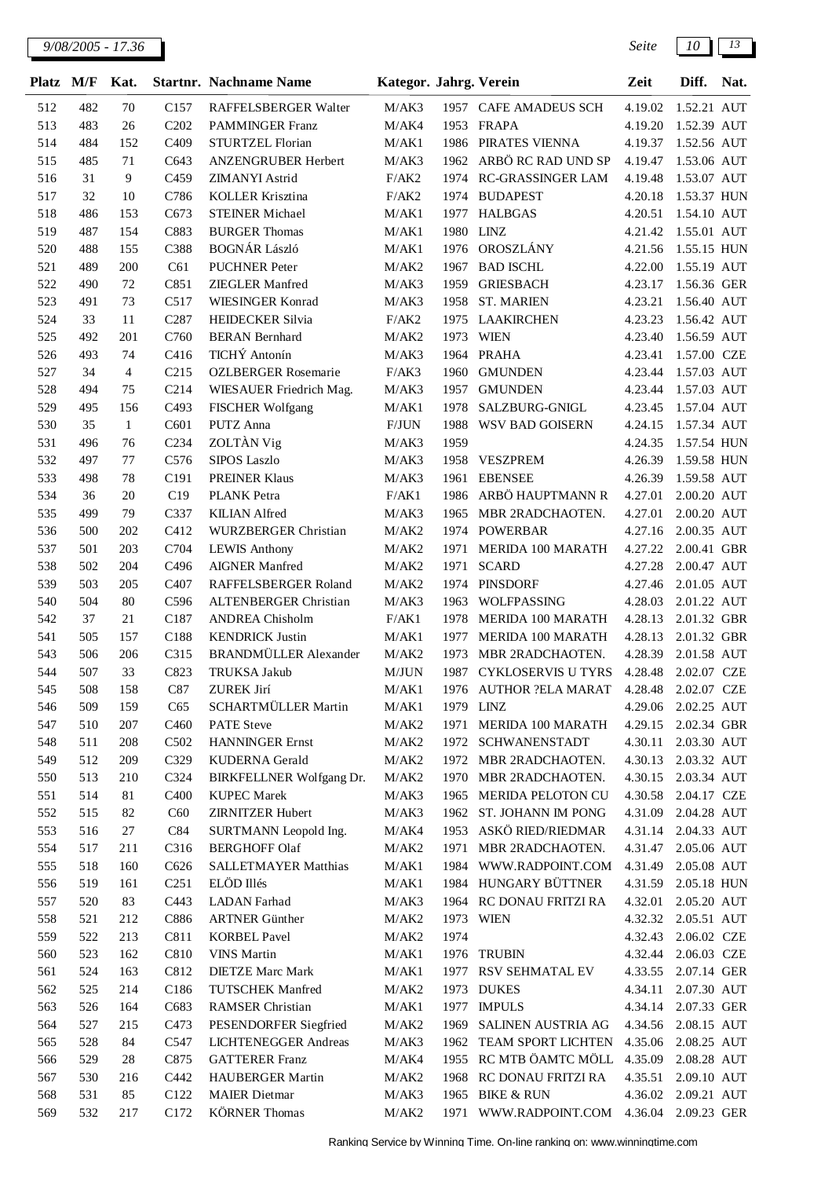| <b>Platz</b> | M/F        | Kat.           |                          | <b>Startnr.</b> Nachname Name                | Kategor. Jahrg. Verein |      |                                 | Zeit                | Diff.                      | Nat. |
|--------------|------------|----------------|--------------------------|----------------------------------------------|------------------------|------|---------------------------------|---------------------|----------------------------|------|
| 512          | 482        | 70             | C <sub>157</sub>         | RAFFELSBERGER Walter                         | M/AK3                  |      | 1957 CAFE AMADEUS SCH           | 4.19.02             | 1.52.21 AUT                |      |
| 513          | 483        | 26             | C <sub>202</sub>         | <b>PAMMINGER Franz</b>                       | M/AK4                  | 1953 | FRAPA                           | 4.19.20             | 1.52.39 AUT                |      |
| 514          | 484        | 152            | C <sub>409</sub>         | STURTZEL Florian                             | M/AK1                  | 1986 | PIRATES VIENNA                  | 4.19.37             | 1.52.56 AUT                |      |
| 515          | 485        | 71             | C643                     | ANZENGRUBER Herbert                          | M/AK3                  | 1962 | ARBÖ RC RAD UND SP              | 4.19.47             | 1.53.06 AUT                |      |
| 516          | 31         | 9              | C459                     | ZIMANYI Astrid                               | F/AK2                  | 1974 | RC-GRASSINGER LAM               | 4.19.48             | 1.53.07 AUT                |      |
| 517          | 32         | 10             | C786                     | <b>KOLLER Krisztina</b>                      | F/AK2                  | 1974 | <b>BUDAPEST</b>                 | 4.20.18             | 1.53.37 HUN                |      |
| 518          | 486        | 153            | C673                     | <b>STEINER Michael</b>                       | M/AK1                  | 1977 | <b>HALBGAS</b>                  | 4.20.51             | 1.54.10 AUT                |      |
| 519          | 487        | 154            | C883                     | <b>BURGER Thomas</b>                         | M/AK1                  | 1980 | <b>LINZ</b>                     | 4.21.42             | 1.55.01 AUT                |      |
| 520          | 488        | 155            | C388                     | <b>BOGNÁR László</b>                         | M/AK1                  | 1976 | OROSZLÁNY                       | 4.21.56             | 1.55.15 HUN                |      |
| 521          | 489        | 200            | C61                      | <b>PUCHNER Peter</b>                         | M/AK2                  | 1967 | <b>BAD ISCHL</b>                | 4.22.00             | 1.55.19 AUT                |      |
| 522          | 490        | 72             | C851                     | <b>ZIEGLER Manfred</b>                       | M/AK3                  | 1959 | <b>GRIESBACH</b>                | 4.23.17             | 1.56.36 GER                |      |
| 523          | 491        | 73             | C517                     | <b>WIESINGER Konrad</b>                      | M/AK3                  | 1958 | <b>ST. MARIEN</b>               | 4.23.21             | 1.56.40 AUT                |      |
| 524          | 33         | 11             | C <sub>287</sub>         | <b>HEIDECKER Silvia</b>                      | F/AK2                  | 1975 | <b>LAAKIRCHEN</b>               | 4.23.23             | 1.56.42 AUT                |      |
| 525          | 492        | 201            | C760                     | <b>BERAN</b> Bernhard                        | M/AK2                  | 1973 | <b>WIEN</b>                     | 4.23.40             | 1.56.59 AUT                |      |
| 526          | 493        | 74             | C416                     | TICHÝ Antonín                                | M/AK3                  | 1964 | <b>PRAHA</b>                    | 4.23.41             | 1.57.00 CZE                |      |
| 527          | 34         | $\overline{4}$ | C <sub>215</sub>         | <b>OZLBERGER Rosemarie</b>                   | F/AK3                  | 1960 | <b>GMUNDEN</b>                  | 4.23.44             | 1.57.03 AUT                |      |
| 528          | 494        | 75             | C214                     | WIESAUER Friedrich Mag.                      | M/AK3                  | 1957 | <b>GMUNDEN</b>                  | 4.23.44             | 1.57.03 AUT                |      |
| 529          | 495        | 156            | C493                     | <b>FISCHER Wolfgang</b>                      | M/AK1                  | 1978 | SALZBURG-GNIGL                  | 4.23.45             | 1.57.04 AUT                |      |
| 530          | 35         | $\mathbf{1}$   | C601                     | PUTZ Anna                                    | F/JUN                  | 1988 | WSV BAD GOISERN                 | 4.24.15             | 1.57.34 AUT                |      |
| 531          | 496        | 76             | C <sub>234</sub>         | ZOLTÀN Vig                                   | M/AK3                  | 1959 |                                 | 4.24.35             | 1.57.54 HUN                |      |
| 532          | 497        | 77             | C576                     | <b>SIPOS Laszlo</b>                          | M/AK3                  | 1958 | <b>VESZPREM</b>                 | 4.26.39             | 1.59.58 HUN                |      |
| 533          | 498        | 78             | C191                     | <b>PREINER Klaus</b>                         | M/AK3                  | 1961 | <b>EBENSEE</b>                  | 4.26.39             | 1.59.58 AUT                |      |
| 534          | 36         | 20             | C19                      | <b>PLANK</b> Petra                           | F/AK1                  | 1986 | ARBÖ HAUPTMANN R                | 4.27.01             | 2.00.20 AUT                |      |
| 535          | 499        | 79             | C337                     | <b>KILIAN</b> Alfred                         | M/AK3                  | 1965 | MBR 2RADCHAOTEN.                | 4.27.01             | 2.00.20 AUT                |      |
| 536          | 500        | 202            | C412                     | WURZBERGER Christian                         | M/AK2                  | 1974 | <b>POWERBAR</b>                 | 4.27.16             | 2.00.35 AUT                |      |
| 537          | 501        | 203            | C704                     | <b>LEWIS Anthony</b>                         | M/AK2                  | 1971 | MERIDA 100 MARATH               | 4.27.22             | 2.00.41 GBR                |      |
| 538          | 502        | 204            | C496                     | <b>AIGNER Manfred</b>                        | M/AK2                  | 1971 | <b>SCARD</b>                    | 4.27.28             | 2.00.47 AUT                |      |
| 539          | 503        | 205            | C407                     | RAFFELSBERGER Roland                         | M/AK2                  | 1974 | <b>PINSDORF</b>                 | 4.27.46             | 2.01.05 AUT                |      |
| 540          | 504        | 80             | C596                     | ALTENBERGER Christian                        | M/AK3                  | 1963 | WOLFPASSING                     | 4.28.03             | 2.01.22 AUT                |      |
| 542          | 37         | 21             | C187                     | <b>ANDREA Chisholm</b>                       | F/AK1                  | 1978 | MERIDA 100 MARATH               | 4.28.13             | 2.01.32 GBR                |      |
| 541          | 505        | 157            | C188                     | <b>KENDRICK Justin</b>                       | M/AK1                  | 1977 | MERIDA 100 MARATH               | 4.28.13             | 2.01.32 GBR                |      |
| 543          | 506        | 206            | C315                     | <b>BRANDMÜLLER</b> Alexander                 | M/AK2                  | 1973 | MBR 2RADCHAOTEN.                | 4.28.39             | 2.01.58 AUT                |      |
| 544          | 507        | 33             | C823                     | TRUKSA Jakub                                 | M/JUN                  | 1987 | <b>CYKLOSERVIS U TYRS</b>       | 4.28.48             | 2.02.07 CZE                |      |
| 545          | 508        | 158            | C87                      | ZUREK Jirí                                   | M/AK1                  |      | 1976 AUTHOR ?ELA MARAT          | 4.28.48             | 2.02.07 CZE                |      |
| 546          | 509        | 159            | C65                      | SCHARTMÜLLER Martin                          | M/AK1                  |      | 1979 LINZ                       | 4.29.06             | 2.02.25 AUT                |      |
| 547          | 510        | 207            | C <sub>460</sub>         | <b>PATE</b> Steve                            | M/AK2                  | 1971 | MERIDA 100 MARATH               | 4.29.15             | 2.02.34 GBR                |      |
| 548          | 511        | 208            | C502                     | <b>HANNINGER Ernst</b>                       | M/AK2                  | 1972 | SCHWANENSTADT                   | 4.30.11             | 2.03.30 AUT                |      |
| 549          | 512        | 209            | C329                     | <b>KUDERNA</b> Gerald                        | M/AK2                  | 1972 | MBR 2RADCHAOTEN.                | 4.30.13             | 2.03.32 AUT                |      |
| 550          | 513        | 210            | C324                     | <b>BIRKFELLNER Wolfgang Dr.</b>              | M/AK2                  | 1970 | MBR 2RADCHAOTEN.                | 4.30.15             | 2.03.34 AUT                |      |
| 551          | 514        | 81             | C400                     | <b>KUPEC</b> Marek                           | M/AK3                  | 1965 | MERIDA PELOTON CU               | 4.30.58             | 2.04.17 CZE                |      |
| 552          | 515        | 82             | C60                      | <b>ZIRNITZER Hubert</b>                      | M/AK3                  |      | 1962 ST. JOHANN IM PONG         | 4.31.09             | 2.04.28 AUT                |      |
| 553          | 516        | $27\,$         | C84                      | SURTMANN Leopold Ing.                        | M/AK4                  | 1953 | ASKÖ RIED/RIEDMAR               | 4.31.14             | 2.04.33 AUT                |      |
| 554          | 517        | 211            | C316                     | <b>BERGHOFF Olaf</b>                         | M/AK2                  | 1971 | MBR 2RADCHAOTEN.                | 4.31.47             | 2.05.06 AUT                |      |
| 555          | 518        | 160            | C626                     | <b>SALLETMAYER Matthias</b><br>ELÖD Illés    | M/AK1                  | 1984 | WWW.RADPOINT.COM                | 4.31.49             | 2.05.08 AUT                |      |
| 556          | 519        | 161            | C <sub>251</sub><br>C443 |                                              | M/AK1                  | 1984 | HUNGARY BÜTTNER                 | 4.31.59             | 2.05.18 HUN                |      |
| 557<br>558   | 520<br>521 | 83<br>212      | C886                     | <b>LADAN</b> Farhad<br><b>ARTNER Günther</b> | M/AK3<br>M/AK2         | 1964 | RC DONAU FRITZI RA<br>1973 WIEN | 4.32.01<br>4.32.32  | 2.05.20 AUT<br>2.05.51 AUT |      |
| 559          | 522        | 213            | C811                     | <b>KORBEL Pavel</b>                          | M/AK2                  | 1974 |                                 | 4.32.43             | 2.06.02 CZE                |      |
| 560          | 523        | 162            | C810                     | <b>VINS Martin</b>                           | M/AK1                  | 1976 | <b>TRUBIN</b>                   | 4.32.44             | 2.06.03 CZE                |      |
| 561          | 524        | 163            | C812                     | <b>DIETZE Marc Mark</b>                      | M/AK1                  | 1977 | RSV SEHMATAL EV                 | 4.33.55             | 2.07.14 GER                |      |
| 562          | 525        | 214            | C186                     | <b>TUTSCHEK</b> Manfred                      | M/AK2                  |      | 1973 DUKES                      | 4.34.11             | 2.07.30 AUT                |      |
| 563          | 526        | 164            | C683                     | <b>RAMSER Christian</b>                      | M/AK1                  | 1977 | <b>IMPULS</b>                   | 4.34.14             | 2.07.33 GER                |      |
| 564          | 527        | 215            | C473                     | PESENDORFER Siegfried                        | M/AK2                  | 1969 | SALINEN AUSTRIA AG              | 4.34.56             | 2.08.15 AUT                |      |
| 565          | 528        | 84             | C547                     | LICHTENEGGER Andreas                         | M/AK3                  | 1962 | TEAM SPORT LICHTEN              | 4.35.06             | 2.08.25 AUT                |      |
| 566          | 529        | $28\,$         | C875                     | <b>GATTERER Franz</b>                        | M/AK4                  | 1955 | RC MTB ÖAMTC MÖLL               | 4.35.09             | 2.08.28 AUT                |      |
| 567          | 530        | 216            | C442                     | HAUBERGER Martin                             | M/AK2                  | 1968 | RC DONAU FRITZI RA              | 4.35.51             | 2.09.10 AUT                |      |
| 568          | 531        | 85             | C122                     | <b>MAIER</b> Dietmar                         | M/AK3                  | 1965 | <b>BIKE &amp; RUN</b>           | 4.36.02             | 2.09.21 AUT                |      |
| 569          | 532        | 217            | C172                     | <b>KÖRNER Thomas</b>                         | M/AK2                  | 1971 | WWW.RADPOINT.COM                | 4.36.04 2.09.23 GER |                            |      |
|              |            |                |                          |                                              |                        |      |                                 |                     |                            |      |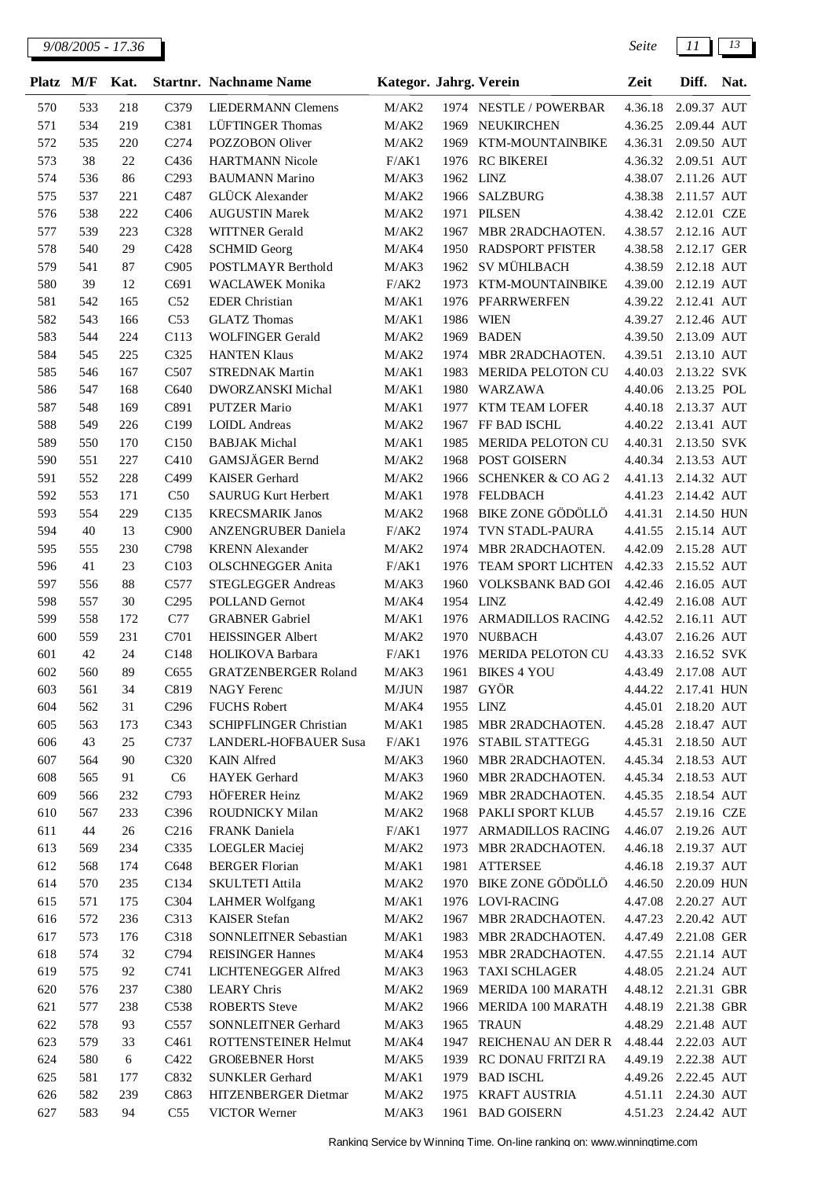| <b>Platz</b> | M/F        | Kat.      |                          | <b>Startnr.</b> Nachname Name                        | Kategor. Jahrg. Verein |                   |                                 | Zeit               | Diff.                      | Nat. |
|--------------|------------|-----------|--------------------------|------------------------------------------------------|------------------------|-------------------|---------------------------------|--------------------|----------------------------|------|
| 570          | 533        | 218       | C379                     | <b>LIEDERMANN Clemens</b>                            | M/AK2                  |                   | 1974 NESTLE / POWERBAR          | 4.36.18            | 2.09.37 AUT                |      |
| 571          | 534        | 219       | C381                     | LÜFTINGER Thomas                                     | M/AK2                  | 1969              | NEUKIRCHEN                      | 4.36.25            | 2.09.44 AUT                |      |
| 572          | 535        | 220       | C274                     | POZZOBON Oliver                                      | M/AK2                  | 1969              | KTM-MOUNTAINBIKE                | 4.36.31            | 2.09.50 AUT                |      |
| 573          | 38         | 22        | C436                     | <b>HARTMANN Nicole</b>                               | F/AK1                  | 1976              | <b>RC BIKEREI</b>               | 4.36.32            | 2.09.51 AUT                |      |
| 574          | 536        | 86        | C <sub>293</sub>         | <b>BAUMANN Marino</b>                                | M/AK3                  | 1962 LINZ         |                                 | 4.38.07            | 2.11.26 AUT                |      |
| 575          | 537        | 221       | C487                     | <b>GLÜCK</b> Alexander                               | M/AK2                  | 1966              | <b>SALZBURG</b>                 | 4.38.38            | 2.11.57 AUT                |      |
| 576          | 538        | 222       | C406                     | <b>AUGUSTIN Marek</b>                                | M/AK2                  | 1971              | <b>PILSEN</b>                   | 4.38.42            | 2.12.01 CZE                |      |
| 577          | 539        | 223       | C328                     | <b>WITTNER</b> Gerald                                | M/AK2                  | 1967              | MBR 2RADCHAOTEN.                | 4.38.57            | 2.12.16 AUT                |      |
| 578          | 540        | 29        | C428                     | <b>SCHMID Georg</b>                                  | M/AK4                  | 1950              | <b>RADSPORT PFISTER</b>         | 4.38.58            | 2.12.17 GER                |      |
| 579          | 541        | 87        | C905                     | POSTLMAYR Berthold                                   | M/AK3                  | 1962              | <b>SV MÜHLBACH</b>              | 4.38.59            | 2.12.18 AUT                |      |
| 580          | 39         | 12        | C691                     | <b>WACLAWEK Monika</b>                               | F/AK2                  | 1973              | KTM-MOUNTAINBIKE                | 4.39.00            | 2.12.19 AUT                |      |
| 581          | 542        | 165       | C52                      | <b>EDER</b> Christian                                | M/AK1                  | 1976              | PFARRWERFEN                     | 4.39.22            | 2.12.41 AUT                |      |
| 582          | 543        | 166       | C53                      | <b>GLATZ</b> Thomas                                  | M/AK1                  | 1986              | <b>WIEN</b>                     | 4.39.27            | 2.12.46 AUT                |      |
| 583          | 544        | 224       | C113                     | <b>WOLFINGER Gerald</b>                              | M/AK2                  | 1969              | <b>BADEN</b>                    | 4.39.50            | 2.13.09 AUT                |      |
| 584          | 545        | 225       | C325                     | <b>HANTEN Klaus</b>                                  | M/AK2                  | 1974              | MBR 2RADCHAOTEN.                | 4.39.51            | 2.13.10 AUT                |      |
| 585          | 546        | 167       | C <sub>507</sub>         | <b>STREDNAK Martin</b>                               | M/AK1                  | 1983              | <b>MERIDA PELOTON CU</b>        | 4.40.03            | 2.13.22 SVK                |      |
| 586          | 547        | 168       | C640                     | DWORZANSKI Michal                                    | M/AK1                  | 1980              | WARZAWA                         | 4.40.06            | 2.13.25 POL                |      |
| 587          | 548        | 169       | C891                     | <b>PUTZER Mario</b>                                  | M/AK1                  | 1977              | <b>KTM TEAM LOFER</b>           | 4.40.18            | 2.13.37 AUT                |      |
| 588          | 549        | 226       | C199                     | <b>LOIDL</b> Andreas                                 | M/AK2                  | 1967              | FF BAD ISCHL                    | 4.40.22            | 2.13.41 AUT                |      |
| 589          | 550        | 170       | C <sub>150</sub>         | <b>BABJAK</b> Michal                                 | $\rm M/AK1$            | 1985              | MERIDA PELOTON CU               | 4.40.31            | 2.13.50 SVK                |      |
| 590          | 551        | 227       | C410                     | GAMSJÄGER Bernd                                      | M/AK2                  | 1968              | POST GOISERN                    | 4.40.34            | 2.13.53 AUT                |      |
| 591          | 552        | 228       | C499                     | <b>KAISER</b> Gerhard                                | M/AK2                  | 1966              | <b>SCHENKER &amp; CO AG 2</b>   | 4.41.13            | 2.14.32 AUT                |      |
| 592          | 553        | 171       | C50                      | SAURUG Kurt Herbert                                  | M/AK1                  | 1978              | <b>FELDBACH</b>                 | 4.41.23            | 2.14.42 AUT                |      |
| 593          | 554        | 229       | C <sub>135</sub>         | <b>KRECSMARIK Janos</b>                              | M/AK2                  | 1968              | <b>BIKE ZONE GÖDÖLLÖ</b>        | 4.41.31            | 2.14.50 HUN                |      |
| 594          | 40         | 13        | C900                     | ANZENGRUBER Daniela                                  | F/AK2                  | 1974              | TVN STADL-PAURA                 | 4.41.55            | 2.15.14 AUT                |      |
| 595          | 555        | 230       | C798                     | <b>KRENN</b> Alexander                               | M/AK2                  | 1974              | MBR 2RADCHAOTEN.                | 4.42.09            | 2.15.28 AUT                |      |
| 596          | 41         | 23        | C103                     | <b>OLSCHNEGGER Anita</b>                             | F/AK1                  | 1976              | TEAM SPORT LICHTEN              | 4.42.33            | 2.15.52 AUT                |      |
| 597          | 556        | 88        | C577                     | <b>STEGLEGGER Andreas</b>                            | M/AK3                  | 1960              | VOLKSBANK BAD GOI               | 4.42.46            | 2.16.05 AUT                |      |
| 598          | 557        | 30        | C <sub>295</sub>         | POLLAND Gernot                                       | M/AK4                  | 1954 LINZ         |                                 | 4.42.49            | 2.16.08 AUT                |      |
| 599          | 558        | 172       | C77                      | <b>GRABNER Gabriel</b>                               | M/AK1                  | 1976              | ARMADILLOS RACING               | 4.42.52            | 2.16.11 AUT                |      |
| 600          | 559        | 231       | C701                     | <b>HEISSINGER Albert</b>                             | M/AK2                  | 1970              | <b>NUßBACH</b>                  | 4.43.07            | 2.16.26 AUT                |      |
| 601          | 42         | 24        | C148                     | HOLIKOVA Barbara                                     | F/AK1                  | 1976              | MERIDA PELOTON CU               | 4.43.33            | 2.16.52 SVK                |      |
| 602          | 560        | 89        | C655                     | <b>GRATZENBERGER Roland</b>                          | M/AK3                  | 1961              | <b>BIKES 4 YOU</b><br>1987 GYÖR | 4.43.49<br>4.44.22 | 2.17.08 AUT                |      |
| 603          | 561        | 34        | C819                     | <b>NAGY</b> Ferenc                                   | M/JUN                  |                   |                                 |                    | 2.17.41 HUN                |      |
| 604<br>605   | 562<br>563 | 31<br>173 | C <sub>296</sub><br>C343 | <b>FUCHS</b> Robert<br><b>SCHIPFLINGER Christian</b> | M/AK4<br>M/AK1         | 1955 LINZ<br>1985 | MBR 2RADCHAOTEN.                | 4.45.01<br>4.45.28 | 2.18.20 AUT<br>2.18.47 AUT |      |
| 606          | 43         | 25        | C737                     | LANDERL-HOFBAUER Susa                                | F/AK1                  | 1976              | STABIL STATTEGG                 | 4.45.31            | 2.18.50 AUT                |      |
| 607          | 564        | 90        | C320                     | <b>KAIN</b> Alfred                                   | M/AK3                  |                   | 1960 MBR 2RADCHAOTEN.           | 4.45.34            | 2.18.53 AUT                |      |
| 608          | 565        | 91        | C <sub>6</sub>           | HAYEK Gerhard                                        | M/AK3                  | 1960              | MBR 2RADCHAOTEN.                | 4.45.34            | 2.18.53 AUT                |      |
| 609          | 566        | 232       | C793                     | HÖFERER Heinz                                        | M/AK2                  | 1969              | MBR 2RADCHAOTEN.                | 4.45.35            | 2.18.54 AUT                |      |
| 610          | 567        | 233       | C396                     | ROUDNICKY Milan                                      | M/AK2                  |                   | 1968 PAKLI SPORT KLUB           | 4.45.57            | 2.19.16 CZE                |      |
| 611          | 44         | 26        | C216                     | FRANK Daniela                                        | F/AK1                  | 1977              | <b>ARMADILLOS RACING</b>        | 4.46.07            | 2.19.26 AUT                |      |
| 613          | 569        | 234       | C335                     | <b>LOEGLER</b> Maciej                                | M/AK2                  | 1973              | MBR 2RADCHAOTEN.                | 4.46.18            | 2.19.37 AUT                |      |
| 612          | 568        | 174       | C648                     | <b>BERGER Florian</b>                                | M/AK1                  | 1981              | <b>ATTERSEE</b>                 | 4.46.18            | 2.19.37 AUT                |      |
| 614          | 570        | 235       | C134                     | SKULTETI Attila                                      | M/AK2                  |                   | 1970 BIKE ZONE GÖDÖLLÖ          | 4.46.50            | 2.20.09 HUN                |      |
| 615          | 571        | 175       | C304                     | <b>LAHMER Wolfgang</b>                               | M/AK1                  |                   | 1976 LOVI-RACING                | 4.47.08            | 2.20.27 AUT                |      |
| 616          | 572        | 236       | C313                     | <b>KAISER</b> Stefan                                 | M/AK2                  |                   | 1967 MBR 2RADCHAOTEN.           | 4.47.23            | 2.20.42 AUT                |      |
| 617          | 573        | 176       | C318                     | SONNLEITNER Sebastian                                | M/AK1                  | 1983              | MBR 2RADCHAOTEN.                | 4.47.49            | 2.21.08 GER                |      |
| 618          | 574        | 32        | C794                     | <b>REISINGER Hannes</b>                              | M/AK4                  |                   | 1953 MBR 2RADCHAOTEN.           | 4.47.55            | 2.21.14 AUT                |      |
| 619          | 575        | 92        | C741                     | LICHTENEGGER Alfred                                  | M/AK3                  | 1963              | <b>TAXI SCHLAGER</b>            | 4.48.05            | 2.21.24 AUT                |      |
| 620          | 576        | 237       | C380                     | <b>LEARY Chris</b>                                   | M/AK2                  | 1969              | MERIDA 100 MARATH               |                    | 4.48.12 2.21.31 GBR        |      |
| 621          | 577        | 238       | C538                     | <b>ROBERTS</b> Steve                                 | M/AK2                  | 1966              | MERIDA 100 MARATH               | 4.48.19            | 2.21.38 GBR                |      |
| 622          | 578        | 93        | C557                     | SONNLEITNER Gerhard                                  | M/AK3                  | 1965              | <b>TRAUN</b>                    | 4.48.29            | 2.21.48 AUT                |      |
| 623          | 579        | 33        | C <sub>461</sub>         | ROTTENSTEINER Helmut                                 | M/AK4                  | 1947              | <b>REICHENAU AN DER R</b>       | 4.48.44            | 2.22.03 AUT                |      |
| 624          | 580        | 6         | C422                     | <b>GROßEBNER Horst</b>                               | M/AK5                  | 1939              | RC DONAU FRITZI RA              | 4.49.19            | 2.22.38 AUT                |      |
| 625          | 581        | 177       | C832                     | <b>SUNKLER Gerhard</b>                               | M/AK1                  | 1979              | <b>BAD ISCHL</b>                | 4.49.26            | 2.22.45 AUT                |      |
| 626          | 582        | 239       | C863                     | HITZENBERGER Dietmar                                 | M/AK2                  | 1975              | <b>KRAFT AUSTRIA</b>            | 4.51.11            | 2.24.30 AUT                |      |
| 627          | 583        | 94        | C <sub>55</sub>          | VICTOR Werner                                        | M/AK3                  |                   | 1961 BAD GOISERN                |                    | 4.51.23 2.24.42 AUT        |      |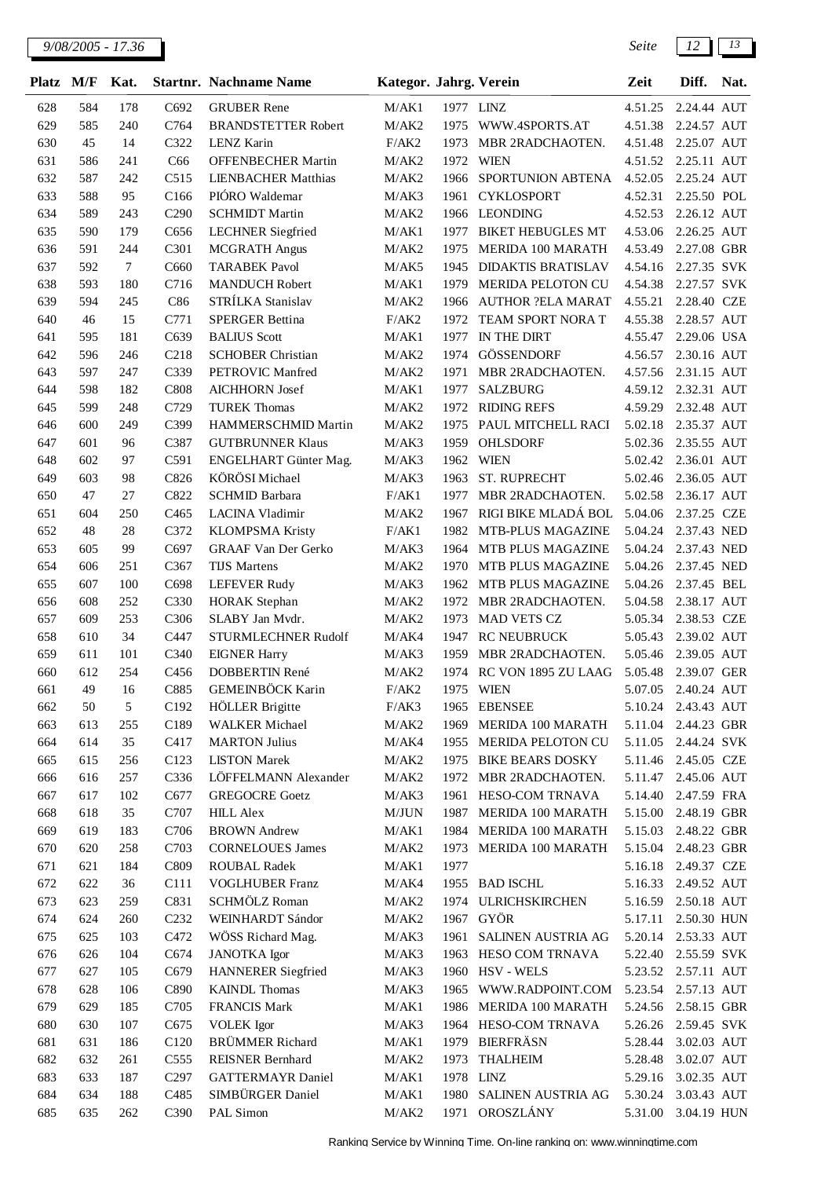| <b>Platz</b> | M/F        | Kat.       |                  | <b>Startnr. Nachname Name</b>           | Kategor. Jahrg. Verein |              |                                        | Zeit               | Diff.                      | Nat. |
|--------------|------------|------------|------------------|-----------------------------------------|------------------------|--------------|----------------------------------------|--------------------|----------------------------|------|
| 628          | 584        | 178        | C692             | <b>GRUBER Rene</b>                      | M/AK1                  | 1977 LINZ    |                                        | 4.51.25            | 2.24.44 AUT                |      |
| 629          | 585        | 240        | C764             | <b>BRANDSTETTER Robert</b>              | M/AK2                  | 1975         | WWW.4SPORTS.AT                         | 4.51.38            | 2.24.57 AUT                |      |
| 630          | 45         | 14         | C322             | <b>LENZ Karin</b>                       | F/AK2                  | 1973         | MBR 2RADCHAOTEN.                       | 4.51.48            | 2.25.07 AUT                |      |
| 631          | 586        | 241        | C66              | OFFENBECHER Martin                      | M/AK2                  | 1972         | WIEN                                   | 4.51.52            | 2.25.11 AUT                |      |
| 632          | 587        | 242        | C515             | <b>LIENBACHER Matthias</b>              | M/AK2                  | 1966         | SPORTUNION ABTENA                      | 4.52.05            | 2.25.24 AUT                |      |
| 633          | 588        | 95         | C <sub>166</sub> | PIÓRO Waldemar                          | M/AK3                  | 1961         | <b>CYKLOSPORT</b>                      | 4.52.31            | 2.25.50 POL                |      |
| 634          | 589        | 243        | C <sub>290</sub> | <b>SCHMIDT Martin</b>                   | M/AK2                  | 1966         | <b>LEONDING</b>                        | 4.52.53            | 2.26.12 AUT                |      |
| 635          | 590        | 179        | C656             | <b>LECHNER</b> Siegfried                | M/AK1                  | 1977         | <b>BIKET HEBUGLES MT</b>               | 4.53.06            | 2.26.25 AUT                |      |
| 636          | 591        | 244        | C301             | <b>MCGRATH Angus</b>                    | M/AK2                  | 1975         | <b>MERIDA 100 MARATH</b>               | 4.53.49            | 2.27.08 GBR                |      |
| 637          | 592        | $\tau$     | C660             | <b>TARABEK Pavol</b>                    | M/AK5                  | 1945         | <b>DIDAKTIS BRATISLAV</b>              | 4.54.16            | 2.27.35 SVK                |      |
| 638          | 593        | 180        | C716             | <b>MANDUCH Robert</b>                   | M/AK1                  | 1979         | MERIDA PELOTON CU                      | 4.54.38            | 2.27.57 SVK                |      |
| 639          | 594        | 245        | C86              | STRÍLKA Stanislav                       | M/AK2                  | 1966         | <b>AUTHOR ?ELA MARAT</b>               | 4.55.21            | 2.28.40 CZE                |      |
| 640          | 46         | 15         | C771             | <b>SPERGER Bettina</b>                  | F/AK2                  | 1972         | TEAM SPORT NORA T                      | 4.55.38            | 2.28.57 AUT                |      |
| 641          | 595        | 181        | C639             | <b>BALIUS</b> Scott                     | M/AK1                  | 1977         | IN THE DIRT                            | 4.55.47            | 2.29.06 USA                |      |
| 642          | 596        | 246        | C <sub>218</sub> | <b>SCHOBER Christian</b>                | M/AK2                  | 1974         | GÖSSENDORF                             | 4.56.57            | 2.30.16 AUT                |      |
| 643          | 597        | 247        | C339             | PETROVIC Manfred                        | M/AK2                  | 1971         | MBR 2RADCHAOTEN.                       | 4.57.56            | 2.31.15 AUT                |      |
| 644          | 598        | 182        | C808             | <b>AICHHORN</b> Josef                   | M/AK1                  | 1977         | <b>SALZBURG</b>                        | 4.59.12            | 2.32.31 AUT                |      |
| 645          | 599        | 248        | C729             | <b>TUREK Thomas</b>                     | M/AK2                  | 1972         | <b>RIDING REFS</b>                     | 4.59.29            | 2.32.48 AUT                |      |
| 646          | 600        | 249        | C399             | HAMMERSCHMID Martin                     | M/AK2                  | 1975         | PAUL MITCHELL RACI                     | 5.02.18            | 2.35.37 AUT                |      |
| 647          | 601        | 96         | C387             | <b>GUTBRUNNER Klaus</b>                 | M/AK3                  | 1959         | OHLSDORF                               | 5.02.36            | 2.35.55 AUT                |      |
| 648          | 602        | 97         | C591             | ENGELHART Günter Mag.                   | M/AK3                  | 1962         | <b>WIEN</b>                            | 5.02.42            | 2.36.01 AUT                |      |
| 649          | 603        | 98         | C826             | KÖRÖSI Michael                          | M/AK3                  | 1963         | ST. RUPRECHT                           | 5.02.46            | 2.36.05 AUT                |      |
| 650          | 47         | 27         | C822             | <b>SCHMID Barbara</b>                   | F/AK1                  | 1977         | MBR 2RADCHAOTEN.                       | 5.02.58            | 2.36.17 AUT                |      |
| 651          | 604        | 250        | C <sub>465</sub> | LACINA Vladimir                         | M/AK2                  | 1967         | RIGI BIKE MLADÁ BOL                    | 5.04.06            | 2.37.25 CZE                |      |
| 652          | 48         | 28         | C372             | <b>KLOMPSMA Kristy</b>                  | F/AK1                  | 1982         | MTB-PLUS MAGAZINE                      | 5.04.24            | 2.37.43 NED                |      |
| 653          | 605        | 99         | C697             | <b>GRAAF Van Der Gerko</b>              | M/AK3                  | 1964         | MTB PLUS MAGAZINE                      | 5.04.24            | 2.37.43 NED                |      |
| 654          | 606        | 251        | C367             | <b>TIJS Martens</b>                     | M/AK2                  | 1970         | MTB PLUS MAGAZINE                      | 5.04.26            | 2.37.45 NED                |      |
| 655          | 607        | 100        | C698             | <b>LEFEVER Rudy</b>                     | M/AK3                  | 1962         | MTB PLUS MAGAZINE                      | 5.04.26            | 2.37.45 BEL                |      |
| 656          | 608<br>609 | 252<br>253 | C330<br>C306     | <b>HORAK</b> Stephan<br>SLABY Jan Mydr. | M/AK2<br>M/AK2         | 1972<br>1973 | MBR 2RADCHAOTEN.<br><b>MAD VETS CZ</b> | 5.04.58<br>5.05.34 | 2.38.17 AUT<br>2.38.53 CZE |      |
| 657<br>658   | 610        | 34         | C447             | STURMLECHNER Rudolf                     | M/AK4                  | 1947         | <b>RC NEUBRUCK</b>                     | 5.05.43            | 2.39.02 AUT                |      |
| 659          | 611        | 101        | C340             | <b>EIGNER Harry</b>                     | M/AK3                  | 1959         | MBR 2RADCHAOTEN.                       | 5.05.46            | 2.39.05 AUT                |      |
| 660          | 612        | 254        | C456             | DOBBERTIN René                          | M/AK2                  | 1974         | RC VON 1895 ZU LAAG                    | 5.05.48            | 2.39.07 GER                |      |
| 661          | 49         | 16         | C885             | GEMEINBÖCK Karin                        | F/AK2                  |              | 1975 WIEN                              | 5.07.05            | 2.40.24 AUT                |      |
| 662          | 50         | 5          | C192             | <b>HÖLLER</b> Brigitte                  | F/AK3                  |              | 1965 EBENSEE                           |                    | 5.10.24 2.43.43 AUT        |      |
| 663          | 613        | 255        | C189             | <b>WALKER</b> Michael                   | M/AK2                  | 1969         | MERIDA 100 MARATH                      |                    | 5.11.04 2.44.23 GBR        |      |
| 664          | 614        | 35         | C417             | <b>MARTON Julius</b>                    | M/AK4                  | 1955         | MERIDA PELOTON CU                      | 5.11.05            | 2.44.24 SVK                |      |
| 665          | 615        | 256        | C123             | <b>LISTON Marek</b>                     | M/AK2                  | 1975         | <b>BIKE BEARS DOSKY</b>                | 5.11.46            | 2.45.05 CZE                |      |
| 666          | 616        | 257        | C336             | LÖFFELMANN Alexander                    | M/AK2                  | 1972         | MBR 2RADCHAOTEN.                       | 5.11.47            | 2.45.06 AUT                |      |
| 667          | 617        | 102        | C677             | <b>GREGOCRE Goetz</b>                   | M/AK3                  | 1961         | HESO-COM TRNAVA                        | 5.14.40            | 2.47.59 FRA                |      |
| 668          | 618        | 35         | C707             | <b>HILL Alex</b>                        | M/JUN                  | 1987         | MERIDA 100 MARATH                      | 5.15.00            | 2.48.19 GBR                |      |
| 669          | 619        | 183        | C706             | <b>BROWN</b> Andrew                     | M/AK1                  | 1984         | <b>MERIDA 100 MARATH</b>               | 5.15.03            | 2.48.22 GBR                |      |
| 670          | 620        | 258        | C703             | <b>CORNELOUES James</b>                 | M/AK2                  | 1973         | <b>MERIDA 100 MARATH</b>               | 5.15.04            | 2.48.23 GBR                |      |
| 671          | 621        | 184        | C809             | <b>ROUBAL Radek</b>                     | M/AK1                  | 1977         |                                        | 5.16.18            | 2.49.37 CZE                |      |
| 672          | 622        | 36         | C111             | <b>VOGLHUBER Franz</b>                  | M/AK4                  |              | 1955 BAD ISCHL                         | 5.16.33            | 2.49.52 AUT                |      |
| 673          | 623        | 259        | C831             | SCHMÖLZ Roman                           | M/AK2                  | 1974         | <b>ULRICHSKIRCHEN</b>                  | 5.16.59            | 2.50.18 AUT                |      |
| 674          | 624        | 260        | C <sub>232</sub> | WEINHARDT Sándor                        | M/AK2                  | 1967         | GYÖR                                   | 5.17.11            | 2.50.30 HUN                |      |
| 675          | 625        | 103        | C472             | WÖSS Richard Mag.                       | M/AK3                  | 1961         | SALINEN AUSTRIA AG                     | 5.20.14            | 2.53.33 AUT                |      |
| 676          | 626        | 104        | C674             | <b>JANOTKA</b> Igor                     | M/AK3                  |              | 1963 HESO COM TRNAVA                   | 5.22.40            | 2.55.59 SVK                |      |
| 677          | 627        | 105        | C679             | <b>HANNERER</b> Siegfried               | M/AK3                  |              | 1960 HSV - WELS                        |                    | 5.23.52 2.57.11 AUT        |      |
| 678          | 628        | 106        | C890             | <b>KAINDL</b> Thomas                    | M/AK3                  | 1965         | WWW.RADPOINT.COM                       |                    | 5.23.54 2.57.13 AUT        |      |
| 679          | 629        | 185        | C705             | FRANCIS Mark                            | M/AK1                  | 1986         | MERIDA 100 MARATH                      | 5.24.56            | 2.58.15 GBR                |      |
| 680          | 630        | 107        | C675             | <b>VOLEK</b> Igor                       | M/AK3                  | 1964         | HESO-COM TRNAVA                        | 5.26.26            | 2.59.45 SVK                |      |
| 681          | 631        | 186        | C <sub>120</sub> | <b>BRÜMMER Richard</b>                  | M/AK1                  | 1979         | <b>BIERFRÄSN</b>                       | 5.28.44            | 3.02.03 AUT                |      |
| 682          | 632        | 261        | C <sub>555</sub> | <b>REISNER Bernhard</b>                 | M/AK2                  | 1973         | <b>THALHEIM</b>                        | 5.28.48            | 3.02.07 AUT                |      |
| 683          | 633        | 187        | C <sub>297</sub> | <b>GATTERMAYR Daniel</b>                | M/AK1                  | 1978         | <b>LINZ</b>                            | 5.29.16            | 3.02.35 AUT                |      |
| 684          | 634        | 188        | C <sub>485</sub> | SIMBÜRGER Daniel                        | M/AK1                  | 1980         | SALINEN AUSTRIA AG                     | 5.30.24            | 3.03.43 AUT                |      |
| 685          | 635        | 262        | C390             | PAL Simon                               | M/AK2                  | 1971         | OROSZLÁNY                              | 5.31.00            | 3.04.19 HUN                |      |